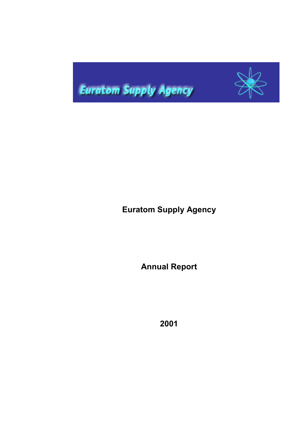

# **Euratom Supply Agency**

# **Euratom Supply Agency**

**Annual Report**

**2001**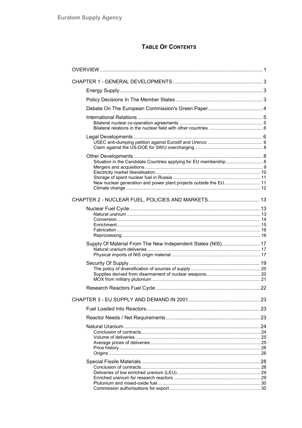# TABLE OF CONTENTS

| Situation in the Candidate Countries applying for EU membership 8<br>New nuclear generation and power plant projects outside the EU 11 |  |
|----------------------------------------------------------------------------------------------------------------------------------------|--|
| CHAPTER 2 - NUCLEAR FUEL, POLICIES AND MARKETS 13                                                                                      |  |
|                                                                                                                                        |  |
| Supply Of Material From The New Independent States (NIS) 17                                                                            |  |
|                                                                                                                                        |  |
|                                                                                                                                        |  |
|                                                                                                                                        |  |
|                                                                                                                                        |  |
|                                                                                                                                        |  |
|                                                                                                                                        |  |
|                                                                                                                                        |  |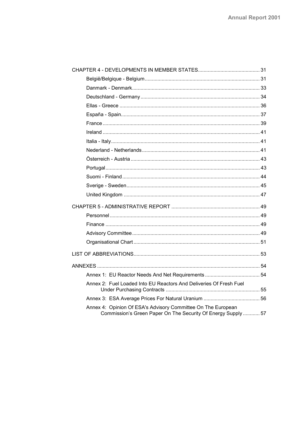| Annex 2: Fuel Loaded Into EU Reactors And Deliveries Of Fresh Fuel                                                            |  |
|-------------------------------------------------------------------------------------------------------------------------------|--|
|                                                                                                                               |  |
| Annex 4: Opinion Of ESA's Advisory Committee On The European<br>Commission's Green Paper On The Security Of Energy Supply  57 |  |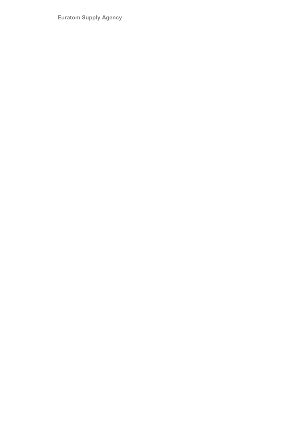**Euratom Supply Agency**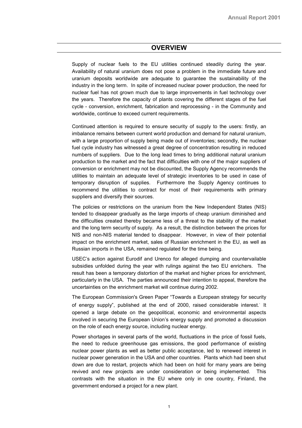# **OVERVIEW**

<span id="page-4-0"></span>Supply of nuclear fuels to the EU utilities continued steadily during the year. Availability of natural uranium does not pose a problem in the immediate future and uranium deposits worldwide are adequate to guarantee the sustainability of the industry in the long term. In spite of increased nuclear power production, the need for nuclear fuel has not grown much due to large improvements in fuel technology over the years. Therefore the capacity of plants covering the different stages of the fuel cycle - conversion, enrichment, fabrication and reprocessing - in the Community and worldwide, continue to exceed current requirements.

Continued attention is required to ensure security of supply to the users: firstly, an imbalance remains between current world production and demand for natural uranium, with a large proportion of supply being made out of inventories; secondly, the nuclear fuel cycle industry has witnessed a great degree of concentration resulting in reduced numbers of suppliers. Due to the long lead times to bring additional natural uranium production to the market and the fact that difficulties with one of the major suppliers of conversion or enrichment may not be discounted, the Supply Agency recommends the utilities to maintain an adequate level of strategic inventories to be used in case of temporary disruption of supplies. Furthermore the Supply Agency continues to recommend the utilities to contract for most of their requirements with primary suppliers and diversify their sources.

The policies or restrictions on the uranium from the New Independent States (NIS) tended to disappear gradually as the large imports of cheap uranium diminished and the difficulties created thereby became less of a threat to the stability of the market and the long term security of supply. As a result, the distinction between the prices for NIS and non-NIS material tended to disappear. However, in view of their potential impact on the enrichment market, sales of Russian enrichment in the EU, as well as Russian imports in the USA, remained regulated for the time being.

USEC's action against Eurodif and Urenco for alleged dumping and countervailable subsidies unfolded during the year with rulings against the two EU enrichers. The result has been a temporary distortion of the market and higher prices for enrichment, particularly in the USA. The parties announced their intention to appeal, therefore the uncertainties on the enrichment market will continue during 2002.

The European Commission's Green Paper "Towards a European strategy for security of energy supply", published at the end of 2000, raised considerable interest. It opened a large debate on the geopolitical, economic and environmental aspects involved in securing the European Union's energy supply and promoted a discussion on the role of each energy source, including nuclear energy.

Power shortages in several parts of the world, fluctuations in the price of fossil fuels, the need to reduce greenhouse gas emissions, the good performance of existing nuclear power plants as well as better public acceptance, led to renewed interest in nuclear power generation in the USA and other countries. Plants which had been shut down are due to restart, projects which had been on hold for many years are being revived and new projects are under consideration or being implemented. This contrasts with the situation in the EU where only in one country, Finland, the government endorsed a project for a new plant.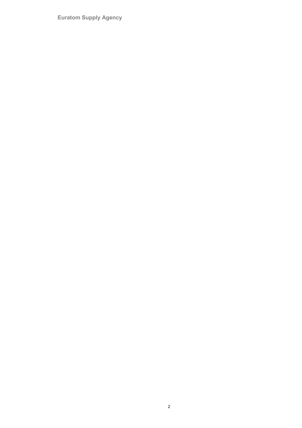**Euratom Supply Agency**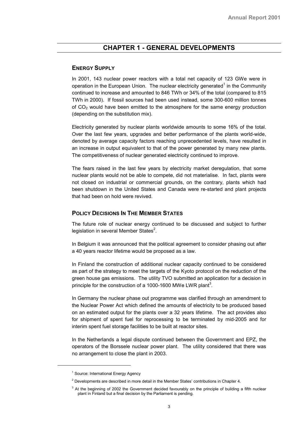# **CHAPTER 1 - GENERAL DEVELOPMENTS**

# <span id="page-6-0"></span>**ENERGY SUPPLY**

In 2001, 143 nuclear power reactors with a total net capacity of 123 GWe were in operation in the European Union. The nuclear electricity generated<sup>1</sup> in the Community continued to increase and amounted to 846 TWh or 34% of the total (compared to 815 TWh in 2000). If fossil sources had been used instead, some 300-600 million tonnes of  $CO<sub>2</sub>$  would have been emitted to the atmosphere for the same energy production (depending on the substitution mix).

Electricity generated by nuclear plants worldwide amounts to some 16% of the total. Over the last few years, upgrades and better performance of the plants world-wide, denoted by average capacity factors reaching unprecedented levels, have resulted in an increase in output equivalent to that of the power generated by many new plants. The competitiveness of nuclear generated electricity continued to improve.

The fears raised in the last few years by electricity market deregulation, that some nuclear plants would not be able to compete, did not materialise. In fact, plants were not closed on industrial or commercial grounds, on the contrary, plants which had been shutdown in the United States and Canada were re-started and plant projects that had been on hold were revived.

# **POLICY DECISIONS IN THE MEMBER STATES**

The future role of nuclear energy continued to be discussed and subject to further legislation in several Member States<sup>2</sup>.

In Belgium it was announced that the political agreement to consider phasing out after a 40 years reactor lifetime would be proposed as a law.

In Finland the construction of additional nuclear capacity continued to be considered as part of the strategy to meet the targets of the Kyoto protocol on the reduction of the green house gas emissions. The utility TVO submitted an application for a decision in principle for the construction of a 1000-1600 MWe LWR plant<sup>3</sup>.

In Germany the nuclear phase out programme was clarified through an amendment to the Nuclear Power Act which defined the amounts of electricity to be produced based on an estimated output for the plants over a 32 years lifetime. The act provides also for shipment of spent fuel for reprocessing to be terminated by mid-2005 and for interim spent fuel storage facilities to be built at reactor sites.

In the Netherlands a legal dispute continued between the Government and EPZ, the operators of the Borssele nuclear power plant. The utility considered that there was no arrangement to close the plant in 2003.

 $\overline{a}$ 

<sup>&</sup>lt;sup>1</sup> Source: International Energy Agency

 $2$  Developments are described in more detail in the Member States' contributions in Chapter 4.

 $3$  At the beginning of 2002 the Government decided favourably on the principle of building a fifth nuclear plant in Finland but a final decision by the Parliament is pending.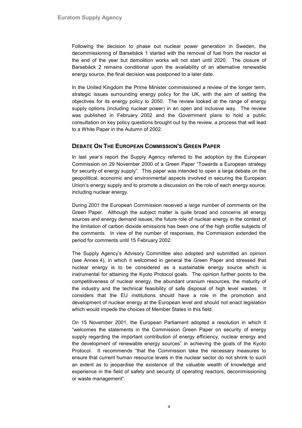<span id="page-7-0"></span>Following the decision to phase out nuclear power generation in Sweden, the decommissioning of Barsebäck 1 started with the removal of fuel from the reactor at the end of the year but demolition works will not start until 2020. The closure of Barsebäck 2 remains conditional upon the availability of an alternative renewable energy source, the final decision was postponed to a later date.

In the United Kingdom the Prime Minister commissioned a review of the longer term, strategic issues surrounding energy policy for the UK, with the aim of setting the objectives for its energy policy to 2050. The review looked at the range of energy supply options (including nuclear power) in an open and inclusive way. The review was published in February 2002 and the Government plans to hold a public consultation on key policy questions brought out by the review, a process that will lead to a White Paper in the Autumn of 2002.

# **DEBATE ON THE EUROPEAN COMMISSION'S GREEN PAPER**

In last year's report the Supply Agency referred to the adoption by the European Commission on 29 November 2000 of a Green Paper "Towards a European strategy for security of energy supply". This paper was intended to open a large debate on the geopolitical, economic and environmental aspects involved in securing the European Union's energy supply and to promote a discussion on the role of each energy source, including nuclear energy.

During 2001 the European Commission received a large number of comments on the Green Paper. Although the subject matter is quite broad and concerns all energy sources and energy demand issues, the future role of nuclear energy in the context of the limitation of carbon dioxide emissions has been one of the high profile subjects of the comments. In view of the number of responses, the Commission extended the period for comments until 15 February 2002.

The Supply Agency's Advisory Committee also adopted and submitted an opinion (see Annex 4), in which it welcomed in general the Green Paper and stressed that nuclear energy is to be considered as a sustainable energy source which is instrumental for attaining the Kyoto Protocol goals. The opinion further points to the competitiveness of nuclear energy, the abundant uranium resources, the maturity of the industry and the technical feasibility of safe disposal of high level wastes. It considers that the EU institutions should have a role in the promotion and development of nuclear energy at the European level and should not enact legislation which would impede the choices of Member States in this field.

On 15 November 2001, the European Parliament adopted a resolution in which it "welcomes the statements in the Commission Green Paper on security of energy supply regarding the important contribution of energy efficiency, nuclear energy and the development of renewable energy sources" in achieving the goals of the Kyoto Protocol. It recommends "that the Commission take the necessary measures to ensure that current human resource levels in the nuclear sector do not shrink to such an extent as to jeopardise the existence of the valuable wealth of knowledge and experience in the field of safety and security of operating reactors, decommissioning or waste management".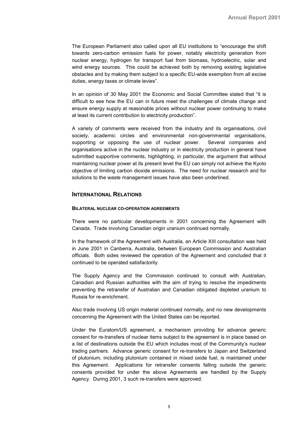<span id="page-8-0"></span>The European Parliament also called upon all EU institutions to "encourage the shift towards zero-carbon emission fuels for power, notably electricity generation from nuclear energy, hydrogen for transport fuel from biomass, hydroelectric, solar and wind energy sources. This could be achieved both by removing existing legislative obstacles and by making them subject to a specific EU-wide exemption from all excise duties, energy taxes or climate levies".

In an opinion of 30 May 2001 the Economic and Social Committee stated that "it is difficult to see how the EU can in future meet the challenges of climate change and ensure energy supply at reasonable prices without nuclear power continuing to make at least its current contribution to electricity production".

A variety of comments were received from the industry and its organisations, civil society, academic circles and environmental non-governmental organisations, supporting or opposing the use of nuclear power. Several companies and organisations active in the nuclear industry or in electricity production in general have submitted supportive comments, highlighting, in particular, the argument that without maintaining nuclear power at its present level the EU can simply not achieve the Kyoto objective of limiting carbon dioxide emissions. The need for nuclear research and for solutions to the waste management issues have also been underlined.

# **INTERNATIONAL RELATIONS**

#### **BILATERAL NUCLEAR CO-OPERATION AGREEMENTS**

There were no particular developments in 2001 concerning the Agreement with Canada. Trade involving Canadian origin uranium continued normally.

In the framework of the Agreement with Australia, an Article XIII consultation was held in June 2001 in Canberra, Australia, between European Commission and Australian officials. Both sides reviewed the operation of the Agreement and concluded that it continued to be operated satisfactorily.

The Supply Agency and the Commission continued to consult with Australian, Canadian and Russian authorities with the aim of trying to resolve the impediments preventing the retransfer of Australian and Canadian obligated depleted uranium to Russia for re-enrichment.

Also trade involving US origin material continued normally, and no new developments concerning the Agreement with the United States can be reported.

Under the Euratom/US agreement, a mechanism providing for advance generic consent for re-transfers of nuclear items subject to the agreement is in place based on a list of destinations outside the EU which includes most of the Community's nuclear trading partners. Advance generic consent for re-transfers to Japan and Switzerland of plutonium, including plutonium contained in mixed oxide fuel, is maintained under this Agreement. Applications for retransfer consents falling outside the generic consents provided for under the above Agreements are handled by the Supply Agency. During 2001, 3 such re-transfers were approved.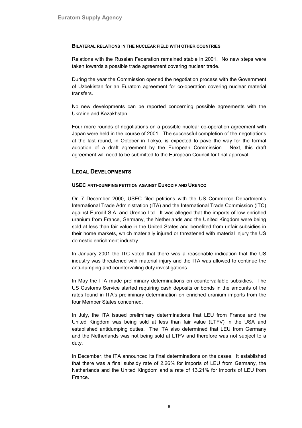#### <span id="page-9-0"></span>**BILATERAL RELATIONS IN THE NUCLEAR FIELD WITH OTHER COUNTRIES**

Relations with the Russian Federation remained stable in 2001. No new steps were taken towards a possible trade agreement covering nuclear trade.

During the year the Commission opened the negotiation process with the Government of Uzbekistan for an Euratom agreement for co-operation covering nuclear material transfers.

No new developments can be reported concerning possible agreements with the Ukraine and Kazakhstan.

Four more rounds of negotiations on a possible nuclear co-operation agreement with Japan were held in the course of 2001. The successful completion of the negotiations at the last round, in October in Tokyo, is expected to pave the way for the formal adoption of a draft agreement by the European Commission. Next, this draft agreement will need to be submitted to the European Council for final approval.

# **LEGAL DEVELOPMENTS**

# **USEC ANTI-DUMPING PETITION AGAINST EURODIF AND URENCO**

On 7 December 2000, USEC filed petitions with the US Commerce Department's International Trade Administration (ITA) and the International Trade Commission (ITC) against Eurodif S.A. and Urenco Ltd. It was alleged that the imports of low enriched uranium from France, Germany, the Netherlands and the United Kingdom were being sold at less than fair value in the United States and benefited from unfair subsidies in their home markets, which materially injured or threatened with material injury the US domestic enrichment industry.

In January 2001 the ITC voted that there was a reasonable indication that the US industry was threatened with material injury and the ITA was allowed to continue the anti-dumping and countervailing duty investigations.

In May the ITA made preliminary determinations on countervailable subsidies. The US Customs Service started requiring cash deposits or bonds in the amounts of the rates found in ITA's preliminary determination on enriched uranium imports from the four Member States concerned.

In July, the ITA issued preliminary determinations that LEU from France and the United Kingdom was being sold at less than fair value (LTFV) in the USA and established antidumping duties. The ITA also determined that LEU from Germany and the Netherlands was not being sold at LTFV and therefore was not subject to a duty.

In December, the ITA announced its final determinations on the cases. It established that there was a final subsidy rate of 2.26% for imports of LEU from Germany, the Netherlands and the United Kingdom and a rate of 13.21% for imports of LEU from France.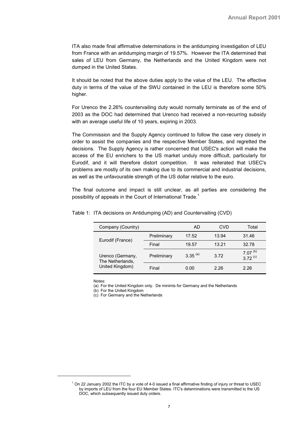ITA also made final affirmative determinations in the antidumping investigation of LEU from France with an antidumping margin of 19.57%. However the ITA determined that sales of LEU from Germany, the Netherlands and the United Kingdom were not dumped in the United States.

It should be noted that the above duties apply to the value of the LEU. The effective duty in terms of the value of the SWU contained in the LEU is therefore some 50% higher.

For Urenco the 2.26% countervailing duty would normally terminate as of the end of 2003 as the DOC had determined that Urenco had received a non-recurring subsidy with an average useful life of 10 years, expiring in 2003.

The Commission and the Supply Agency continued to follow the case very closely in order to assist the companies and the respective Member States, and regretted the decisions. The Supply Agency is rather concerned that USEC's action will make the access of the EU enrichers to the US market unduly more difficult, particularly for Eurodif, and it will therefore distort competition. It was reiterated that USEC's problems are mostly of its own making due to its commercial and industrial decisions, as well as the unfavourable strength of the US dollar relative to the euro.

The final outcome and impact is still unclear, as all parties are considering the possibility of appeals in the Court of International Trade.<sup>1</sup>

| Company (Country)                                       |             | AD           | CVD   | Total                               |
|---------------------------------------------------------|-------------|--------------|-------|-------------------------------------|
|                                                         | Preliminary | 17.52        | 13.94 | 31.46                               |
| Eurodif (France)                                        | Final       | 19.57        | 13.21 | 32.78                               |
| Urenco (Germany,<br>The Netherlands,<br>United Kingdom) | Preliminary | $3.35^{(a)}$ | 3.72  | $7.07^{(b)}$<br>3.72 <sup>(c)</sup> |
|                                                         | Final       | 0.00         | 2.26  | 2.26                                |

Table 1: ITA decisions on Antidumping (AD) and Countervailing (CVD)

Notes:

 $\overline{a}$ 

(a) For the United Kingdom only. De minimis for Germany and the Netherlands

(b) For the United Kingdom

(c) For Germany and the Netherlands

<sup>1</sup> On 22 January 2002 the ITC by a vote of 4-0 issued a final affirmative finding of injury or threat to USEC by imports of LEU from the four EU Member States. ITC's determinations were transmitted to the US DOC, which subsequently issued duty orders.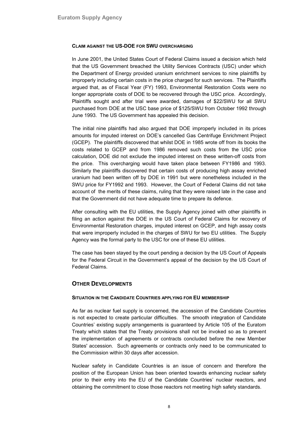## <span id="page-11-0"></span>**CLAIM AGAINST THE US-DOE FOR SWU OVERCHARGING**

In June 2001, the United States Court of Federal Claims issued a decision which held that the US Government breached the Utility Services Contracts (USC) under which the Department of Energy provided uranium enrichment services to nine plaintiffs by improperly including certain costs in the price charged for such services. The Plaintiffs argued that, as of Fiscal Year (FY) 1993, Environmental Restoration Costs were no longer appropriate costs of DOE to be recovered through the USC price. Accordingly, Plaintiffs sought and after trial were awarded, damages of \$22/SWU for all SWU purchased from DOE at the USC base price of \$125/SWU from October 1992 through June 1993. The US Government has appealed this decision.

The initial nine plaintiffs had also argued that DOE improperly included in its prices amounts for imputed interest on DOE's cancelled Gas Centrifuge Enrichment Project (GCEP). The plaintiffs discovered that whilst DOE in 1985 wrote off from its books the costs related to GCEP and from 1986 removed such costs from the USC price calculation, DOE did not exclude the imputed interest on these written-off costs from the price. This overcharging would have taken place between FY1986 and 1993. Similarly the plaintiffs discovered that certain costs of producing high assay enriched uranium had been written off by DOE in 1991 but were nonetheless included in the SWU price for FY1992 and 1993. However, the Court of Federal Claims did not take account of the merits of these claims, ruling that they were raised late in the case and that the Government did not have adequate time to prepare its defence.

After consulting with the EU utilities, the Supply Agency joined with other plaintiffs in filing an action against the DOE in the US Court of Federal Claims for recovery of Environmental Restoration charges, imputed interest on GCEP, and high assay costs that were improperly included in the charges of SWU for two EU utilities. The Supply Agency was the formal party to the USC for one of these EU utilities.

The case has been stayed by the court pending a decision by the US Court of Appeals for the Federal Circuit in the Government's appeal of the decision by the US Court of Federal Claims.

# **OTHER DEVELOPMENTS**

# **SITUATION IN THE CANDIDATE COUNTRIES APPLYING FOR EU MEMBERSHIP**

As far as nuclear fuel supply is concerned, the accession of the Candidate Countries is not expected to create particular difficulties. The smooth integration of Candidate Countries' existing supply arrangements is guaranteed by Article 105 of the Euratom Treaty which states that the Treaty provisions shall not be invoked so as to prevent the implementation of agreements or contracts concluded before the new Member States' accession. Such agreements or contracts only need to be communicated to the Commission within 30 days after accession.

Nuclear safety in Candidate Countries is an issue of concern and therefore the position of the European Union has been oriented towards enhancing nuclear safety prior to their entry into the EU of the Candidate Countries' nuclear reactors, and obtaining the commitment to close those reactors not meeting high safety standards.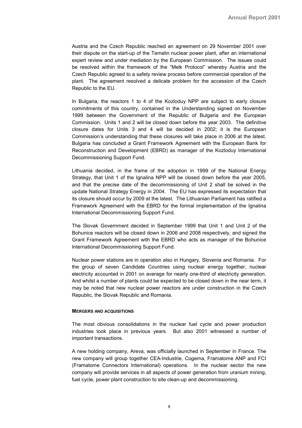<span id="page-12-0"></span>Austria and the Czech Republic reached an agreement on 29 November 2001 over their dispute on the start-up of the Temelin nuclear power plant, after an international expert review and under mediation by the European Commission. The issues could be resolved within the framework of the "Melk Protocol" whereby Austria and the Czech Republic agreed to a safety review process before commercial operation of the plant. The agreement resolved a delicate problem for the accession of the Czech Republic to the EU.

In Bulgaria, the reactors 1 to 4 of the Kozloduy NPP are subject to early closure commitments of this country, contained in the Understanding signed on November 1999 between the Government of the Republic of Bulgaria and the European Commission. Units 1 and 2 will be closed down before the year 2003. The definitive closure dates for Units 3 and 4 will be decided in 2002; it is the European Commission's understanding that these closures will take place in 2006 at the latest. Bulgaria has concluded a Grant Framework Agreement with the European Bank for Reconstruction and Development (EBRD) as manager of the Kozloduy International Decommissioning Support Fund.

Lithuania decided, in the frame of the adoption in 1999 of the National Energy Strategy, that Unit 1 of the Ignalina NPP will be closed down before the year 2005, and that the precise date of the decommissioning of Unit 2 shall be solved in the update National Strategy Energy in 2004. The EU has expressed its expectation that its closure should occur by 2009 at the latest. The Lithuanian Parliament has ratified a Framework Agreement with the EBRD for the formal implementation of the Ignalina International Decommissioning Support Fund.

The Slovak Government decided in September 1999 that Unit 1 and Unit 2 of the Bohunice reactors will be closed down in 2006 and 2008 respectively, and signed the Grant Framework Agreement with the EBRD who acts as manager of the Bohunice International Decommissioning Support Fund.

Nuclear power stations are in operation also in Hungary, Slovenia and Romania. For the group of seven Candidate Countries using nuclear energy together, nuclear electricity accounted in 2001 on average for nearly one-third of electricity generation. And whilst a number of plants could be expected to be closed down in the near term, it may be noted that new nuclear power reactors are under construction in the Czech Republic, the Slovak Republic and Romania.

#### **MERGERS AND ACQUISITIONS**

The most obvious consolidations in the nuclear fuel cycle and power production industries took place in previous years. But also 2001 witnessed a number of important transactions.

A new holding company, Areva, was officially launched in September in France. The new company will group together CEA-Industrie, Cogema, Framatome ANP and FCI (Framatome Connectors International) operations. In the nuclear sector the new company will provide services in all aspects of power generation from uranium mining, fuel cycle, power plant construction to site clean-up and decommissioning.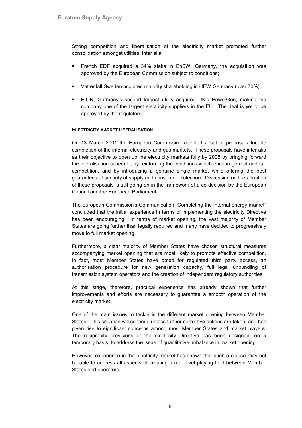<span id="page-13-0"></span>Strong competition and liberalisation of the electricity market promoted further consolidation amongst utilities, inter alia:

- French EDF acquired a 34% stake in EnBW, Germany, the acquisition was approved by the European Commission subject to conditions;
- Vattenfall Sweden acquired majority shareholding in HEW Germany (over 70%);
- E.ON, Germany's second largest utility acquired UK's PowerGen, making the company one of the largest electricity suppliers in the EU. The deal is yet to be approved by the regulators.

## **ELECTRICITY MARKET LIBERALISATION**

On 13 March 2001 the European Commission adopted a set of proposals for the completion of the internal electricity and gas markets. These proposals have inter alia as their objective to open up the electricity markets fully by 2005 by bringing forward the liberalisation schedule, by reinforcing the conditions which encourage real and fair competition, and by introducing a genuine single market while offering the best guarantees of security of supply and consumer protection. Discussion on the adoption of these proposals is still going on in the framework of a co-decision by the European Council and the European Parliament.

The European Commission's Communication "Completing the internal energy market" concluded that the initial experience in terms of implementing the electricity Directive has been encouraging. In terms of market opening, the vast majority of Member States are going further than legally required and many have decided to progressively move to full market opening.

Furthermore, a clear majority of Member States have chosen structural measures accompanying market opening that are most likely to promote effective competition. In fact, most Member States have opted for regulated third party access, an authorisation procedure for new generation capacity, full legal unbundling of transmission system operators and the creation of independent regulatory authorities.

At this stage, therefore, practical experience has already shown that further improvements and efforts are necessary to guarantee a smooth operation of the electricity market.

One of the main issues to tackle is the different market opening between Member States. This situation will continue unless further corrective actions are taken, and has given rise to significant concerns among most Member States and market players. The reciprocity provisions of the electricity Directive has been designed, on a temporary basis, to address the issue of quantitative imbalance in market opening.

However, experience in the electricity market has shown that such a clause may not be able to address all aspects of creating a real level playing field between Member States and operators.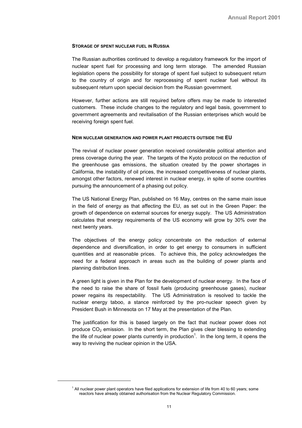#### <span id="page-14-0"></span>**STORAGE OF SPENT NUCLEAR FUEL IN RUSSIA**

The Russian authorities continued to develop a regulatory framework for the import of nuclear spent fuel for processing and long term storage. The amended Russian legislation opens the possibility for storage of spent fuel subject to subsequent return to the country of origin and for reprocessing of spent nuclear fuel without its subsequent return upon special decision from the Russian government.

However, further actions are still required before offers may be made to interested customers. These include changes to the regulatory and legal basis, government to government agreements and revitalisation of the Russian enterprises which would be receiving foreign spent fuel.

#### **NEW NUCLEAR GENERATION AND POWER PLANT PROJECTS OUTSIDE THE EU**

The revival of nuclear power generation received considerable political attention and press coverage during the year. The targets of the Kyoto protocol on the reduction of the greenhouse gas emissions, the situation created by the power shortages in California, the instability of oil prices, the increased competitiveness of nuclear plants, amongst other factors, renewed interest in nuclear energy, in spite of some countries pursuing the announcement of a phasing out policy.

The US National Energy Plan, published on 16 May, centres on the same main issue in the field of energy as that affecting the EU, as set out in the Green Paper: the growth of dependence on external sources for energy supply. The US Administration calculates that energy requirements of the US economy will grow by 30% over the next twenty years.

The objectives of the energy policy concentrate on the reduction of external dependence and diversification, in order to get energy to consumers in sufficient quantities and at reasonable prices. To achieve this, the policy acknowledges the need for a federal approach in areas such as the building of power plants and planning distribution lines.

A green light is given in the Plan for the development of nuclear energy. In the face of the need to raise the share of fossil fuels (producing greenhouse gases), nuclear power regains its respectability. The US Administration is resolved to tackle the nuclear energy taboo, a stance reinforced by the pro-nuclear speech given by President Bush in Minnesota on 17 May at the presentation of the Plan.

The justification for this is based largely on the fact that nuclear power does not produce  $CO<sub>2</sub>$  emission. In the short term, the Plan gives clear blessing to extending the life of nuclear power plants currently in production<sup>1</sup>. In the long term, it opens the way to reviving the nuclear opinion in the USA.

 $\overline{a}$ 

<sup>&</sup>lt;sup>1</sup> All nuclear power plant operators have filed applications for extension of life from 40 to 60 years; some reactors have already obtained authorisation from the Nuclear Regulatory Commission.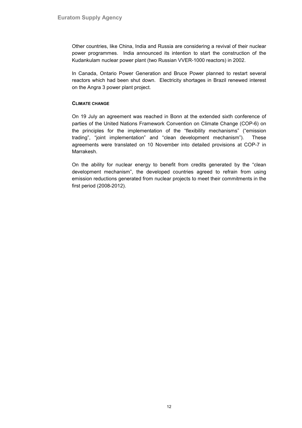<span id="page-15-0"></span>Other countries, like China, India and Russia are considering a revival of their nuclear power programmes. India announced its intention to start the construction of the Kudankulam nuclear power plant (two Russian VVER-1000 reactors) in 2002.

In Canada, Ontario Power Generation and Bruce Power planned to restart several reactors which had been shut down. Electricity shortages in Brazil renewed interest on the Angra 3 power plant project.

# **CLIMATE CHANGE**

On 19 July an agreement was reached in Bonn at the extended sixth conference of parties of the United Nations Framework Convention on Climate Change (COP-6) on the principles for the implementation of the "flexibility mechanisms" ("emission trading", "joint implementation" and "clean development mechanism"). These agreements were translated on 10 November into detailed provisions at COP-7 in Marrakesh.

On the ability for nuclear energy to benefit from credits generated by the "clean development mechanism", the developed countries agreed to refrain from using emission reductions generated from nuclear projects to meet their commitments in the first period (2008-2012).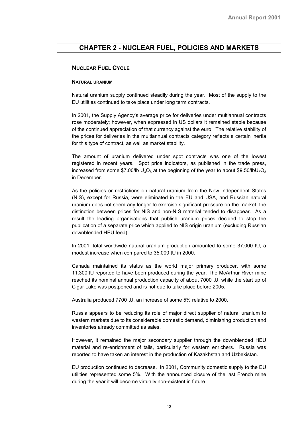# <span id="page-16-0"></span>**CHAPTER 2 - NUCLEAR FUEL, POLICIES AND MARKETS**

# **NUCLEAR FUEL CYCLE**

## **NATURAL URANIUM**

Natural uranium supply continued steadily during the year. Most of the supply to the EU utilities continued to take place under long term contracts.

In 2001, the Supply Agency's average price for deliveries under multiannual contracts rose moderately; however, when expressed in US dollars it remained stable because of the continued appreciation of that currency against the euro. The relative stability of the prices for deliveries in the multiannual contracts category reflects a certain inertia for this type of contract, as well as market stability.

The amount of uranium delivered under spot contracts was one of the lowest registered in recent years. Spot price indicators, as published in the trade press, increased from some \$7.00/lb  $U_3O_8$  at the beginning of the year to about \$9.50/lbU<sub>3</sub>O<sub>8</sub> in December.

As the policies or restrictions on natural uranium from the New Independent States (NIS), except for Russia, were eliminated in the EU and USA, and Russian natural uranium does not seem any longer to exercise significant pressure on the market, the distinction between prices for NIS and non-NIS material tended to disappear. As a result the leading organisations that publish uranium prices decided to stop the publication of a separate price which applied to NIS origin uranium (excluding Russian downblended HEU feed).

In 2001, total worldwide natural uranium production amounted to some 37,000 tU, a modest increase when compared to 35,000 tU in 2000.

Canada maintained its status as the world major primary producer, with some 11,300 tU reported to have been produced during the year. The McArthur River mine reached its nominal annual production capacity of about 7000 tU, while the start up of Cigar Lake was postponed and is not due to take place before 2005.

Australia produced 7700 tU, an increase of some 5% relative to 2000.

Russia appears to be reducing its role of major direct supplier of natural uranium to western markets due to its considerable domestic demand, diminishing production and inventories already committed as sales.

However, it remained the major secondary supplier through the downblended HEU material and re-enrichment of tails, particularly for western enrichers. Russia was reported to have taken an interest in the production of Kazakhstan and Uzbekistan.

EU production continued to decrease. In 2001, Community domestic supply to the EU utilities represented some 5%. With the announced closure of the last French mine during the year it will become virtually non-existent in future.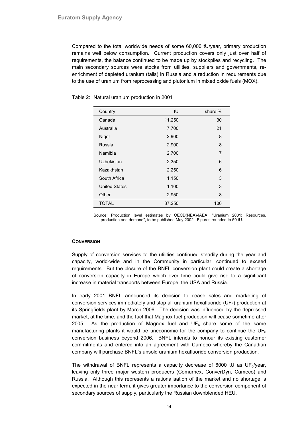<span id="page-17-0"></span>Compared to the total worldwide needs of some 60,000 tU/year, primary production remains well below consumption. Current production covers only just over half of requirements, the balance continued to be made up by stockpiles and recycling. The main secondary sources were stocks from utilities, suppliers and governments, reenrichment of depleted uranium (tails) in Russia and a reduction in requirements due to the use of uranium from reprocessing and plutonium in mixed oxide fuels (MOX).

| Country              | tU     | share %        |
|----------------------|--------|----------------|
| Canada               | 11,250 | 30             |
| Australia            | 7,700  | 21             |
| Niger                | 2,900  | 8              |
| Russia               | 2,900  | 8              |
| Namibia              | 2,700  | $\overline{7}$ |
| Uzbekistan           | 2,350  | 6              |
| Kazakhstan           | 2,250  | 6              |
| South Africa         | 1,150  | 3              |
| <b>United States</b> | 1,100  | 3              |
| Other                | 2,950  | 8              |
| TOTAL                | 37,250 | 100            |

# Table 2: Natural uranium production in 2001

Source: Production level estimates by OECD(NEA)-IAEA, "Uranium 2001: Resources, production and demand", to be published May 2002. Figures rounded to 50 tU.

#### **CONVERSION**

Supply of conversion services to the utilities continued steadily during the year and capacity, world-wide and in the Community in particular, continued to exceed requirements. But the closure of the BNFL conversion plant could create a shortage of conversion capacity in Europe which over time could give rise to a significant increase in material transports between Europe, the USA and Russia.

In early 2001 BNFL announced its decision to cease sales and marketing of conversion services immediately and stop all uranium hexafluoride ( $UF<sub>6</sub>$ ) production at its Springfields plant by March 2006. The decision was influenced by the depressed market, at the time, and the fact that Magnox fuel production will cease sometime after 2005. As the production of Magnox fuel and  $UF<sub>6</sub>$  share some of the same manufacturing plants it would be uneconomic for the company to continue the  $UF_6$ conversion business beyond 2006. BNFL intends to honour its existing customer commitments and entered into an agreement with Cameco whereby the Canadian company will purchase BNFL's unsold uranium hexafluoride conversion production.

The withdrawal of BNFL represents a capacity decrease of 6000 tU as  $UF<sub>e</sub>/year$ , leaving only three major western producers (Comurhex, ConverDyn, Cameco) and Russia. Although this represents a rationalisation of the market and no shortage is expected in the near term, it gives greater importance to the conversion component of secondary sources of supply, particularly the Russian downblended HEU.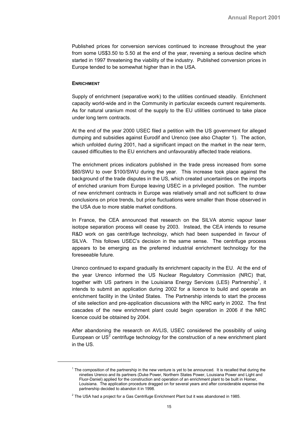<span id="page-18-0"></span>Published prices for conversion services continued to increase throughout the year from some US\$3.50 to 5.50 at the end of the year, reversing a serious decline which started in 1997 threatening the viability of the industry. Published conversion prices in Europe tended to be somewhat higher than in the USA.

#### **ENRICHMENT**

 $\overline{a}$ 

Supply of enrichment (separative work) to the utilities continued steadily. Enrichment capacity world-wide and in the Community in particular exceeds current requirements. As for natural uranium most of the supply to the EU utilities continued to take place under long term contracts.

At the end of the year 2000 USEC filed a petition with the US government for alleged dumping and subsidies against Eurodif and Urenco (see also Chapter 1). The action, which unfolded during 2001, had a significant impact on the market in the near term, caused difficulties to the EU enrichers and unfavourably affected trade relations.

The enrichment prices indicators published in the trade press increased from some \$80/SWU to over \$100/SWU during the year. This increase took place against the background of the trade disputes in the US, which created uncertainties on the imports of enriched uranium from Europe leaving USEC in a privileged position. The number of new enrichment contracts in Europe was relatively small and not sufficient to draw conclusions on price trends, but price fluctuations were smaller than those observed in the USA due to more stable market conditions.

In France, the CEA announced that research on the SILVA atomic vapour laser isotope separation process will cease by 2003. Instead, the CEA intends to resume R&D work on gas centrifuge technology, which had been suspended in favour of SILVA. This follows USEC's decision in the same sense. The centrifuge process appears to be emerging as the preferred industrial enrichment technology for the foreseeable future.

Urenco continued to expand gradually its enrichment capacity in the EU. At the end of the year Urenco informed the US Nuclear Regulatory Commission (NRC) that, together with US partners in the Louisiana Energy Services (LES) Partnership<sup>1</sup>, it intends to submit an application during 2002 for a licence to build and operate an enrichment facility in the United States. The Partnership intends to start the process of site selection and pre-application discussions with the NRC early in 2002. The first cascades of the new enrichment plant could begin operation in 2006 if the NRC licence could be obtained by 2004.

After abandoning the research on AVLIS, USEC considered the possibility of using European or US<sup>2</sup> centrifuge technology for the construction of a new enrichment plant in the US.

 $1$  The composition of the partnership in the new venture is yet to be announced. It is recalled that during the nineties Urenco and its partners (Duke Power, Northern States Power, Louisiana Power and Light and Fluor-Daniel) applied for the construction and operation of an enrichment plant to be built in Homer, Louisiana. The application procedure dragged on for several years and after considerable expense the partnership decided to abandon it in 1998.

 $2$  The USA had a project for a Gas Centrifuge Enrichment Plant but it was abandoned in 1985.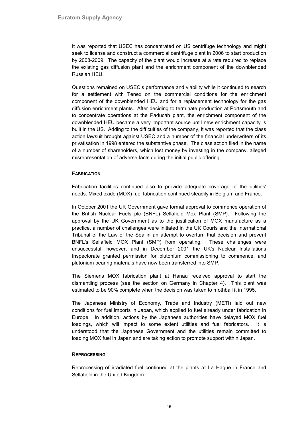<span id="page-19-0"></span>It was reported that USEC has concentrated on US centrifuge technology and might seek to license and construct a commercial centrifuge plant in 2006 to start production by 2008-2009. The capacity of the plant would increase at a rate required to replace the existing gas diffusion plant and the enrichment component of the downblended Russian HEU.

Questions remained on USEC's performance and viability while it continued to search for a settlement with Tenex on the commercial conditions for the enrichment component of the downblended HEU and for a replacement technology for the gas diffusion enrichment plants. After deciding to terminate production at Portsmouth and to concentrate operations at the Paducah plant, the enrichment component of the downblended HEU became a very important source until new enrichment capacity is built in the US. Adding to the difficulties of the company, it was reported that the class action lawsuit brought against USEC and a number of the financial underwriters of its privatisation in 1998 entered the substantive phase. The class action filed in the name of a number of shareholders, which lost money by investing in the company, alleged misrepresentation of adverse facts during the initial public offering.

# **FABRICATION**

Fabrication facilities continued also to provide adequate coverage of the utilities' needs. Mixed oxide (MOX) fuel fabrication continued steadily in Belgium and France.

In October 2001 the UK Government gave formal approval to commence operation of the British Nuclear Fuels plc (BNFL) Sellafield Mox Plant (SMP). Following the approval by the UK Government as to the justification of MOX manufacture as a practice, a number of challenges were initiated in the UK Courts and the International Tribunal of the Law of the Sea in an attempt to overturn that decision and prevent BNFL's Sellafield MOX Plant (SMP) from operating. These challenges were unsuccessful, however, and in December 2001 the UK's Nuclear Installations Inspectorate granted permission for plutonium commissioning to commence, and plutonium bearing materials have now been transferred into SMP.

The Siemens MOX fabrication plant at Hanau received approval to start the dismantling process (see the section on Germany in Chapter 4). This plant was estimated to be 90% complete when the decision was taken to mothball it in 1995.

The Japanese Ministry of Economy, Trade and Industry (METI) laid out new conditions for fuel imports in Japan, which applied to fuel already under fabrication in Europe. In addition, actions by the Japanese authorities have delayed MOX fuel loadings, which will impact to some extent utilities and fuel fabricators. It is understood that the Japanese Government and the utilities remain committed to loading MOX fuel in Japan and are taking action to promote support within Japan.

#### **REPROCESSING**

Reprocessing of irradiated fuel continued at the plants at La Hague in France and Sellafield in the United Kingdom.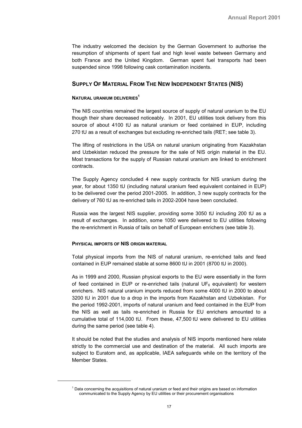<span id="page-20-0"></span>The industry welcomed the decision by the German Government to authorise the resumption of shipments of spent fuel and high level waste between Germany and both France and the United Kingdom. German spent fuel transports had been suspended since 1998 following cask contamination incidents.

# **SUPPLY OF MATERIAL FROM THE NEW INDEPENDENT STATES (NIS)**

# **NATURAL URANIUM DELIVERIES**<sup>1</sup>

The NIS countries remained the largest source of supply of natural uranium to the EU though their share decreased noticeably. In 2001, EU utilities took delivery from this source of about 4100 tU as natural uranium or feed contained in EUP, including 270 tU as a result of exchanges but excluding re-enriched tails (RET; see table 3).

The lifting of restrictions in the USA on natural uranium originating from Kazakhstan and Uzbekistan reduced the pressure for the sale of NIS origin material in the EU. Most transactions for the supply of Russian natural uranium are linked to enrichment contracts.

The Supply Agency concluded 4 new supply contracts for NIS uranium during the year, for about 1350 tU (including natural uranium feed equivalent contained in EUP) to be delivered over the period 2001-2005. In addition, 3 new supply contracts for the delivery of 760 tU as re-enriched tails in 2002-2004 have been concluded.

Russia was the largest NIS supplier, providing some 3050 tU including 200 tU as a result of exchanges. In addition, some 1050 were delivered to EU utilities following the re-enrichment in Russia of tails on behalf of European enrichers (see table 3).

#### **PHYSICAL IMPORTS OF NIS ORIGIN MATERIAL**

 $\overline{a}$ 

Total physical imports from the NIS of natural uranium, re-enriched tails and feed contained in EUP remained stable at some 8600 tU in 2001 (8700 tU in 2000).

As in 1999 and 2000, Russian physical exports to the EU were essentially in the form of feed contained in EUP or re-enriched tails (natural  $UF<sub>6</sub>$  equivalent) for western enrichers. NIS natural uranium imports reduced from some 4000 tU in 2000 to about 3200 tU in 2001 due to a drop in the imports from Kazakhstan and Uzbekistan. For the period 1992-2001, imports of natural uranium and feed contained in the EUP from the NIS as well as tails re-enriched in Russia for EU enrichers amounted to a cumulative total of 114,000 tU. From these, 47,500 tU were delivered to EU utilities during the same period (see table 4).

It should be noted that the studies and analysis of NIS imports mentioned here relate strictly to the commercial use and destination of the material. All such imports are subject to Euratom and, as applicable, IAEA safeguards while on the territory of the Member States.

 $<sup>1</sup>$  Data concerning the acquisitions of natural uranium or feed and their origins are based on information</sup> communicated to the Supply Agency by EU utilities or their procurement organisations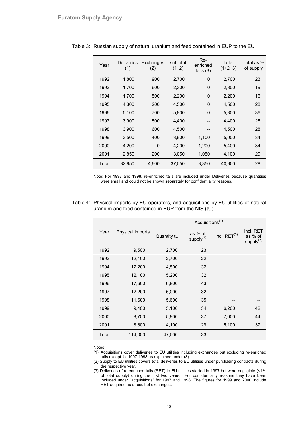| Year  | <b>Deliveries</b><br>(1) | Exchanges<br>(2) | subtotal<br>$(1+2)$ | Re-<br>enriched<br>tails $(3)$ | Total<br>$(1+2+3)$ | Total as %<br>of supply |
|-------|--------------------------|------------------|---------------------|--------------------------------|--------------------|-------------------------|
| 1992  | 1,800                    | 900              | 2,700               | 0                              | 2,700              | 23                      |
| 1993  | 1.700                    | 600              | 2,300               | 0                              | 2,300              | 19                      |
| 1994  | 1,700                    | 500              | 2,200               | $\mathbf 0$                    | 2,200              | 16                      |
| 1995  | 4.300                    | 200              | 4,500               | $\mathbf 0$                    | 4,500              | 28                      |
| 1996  | 5,100                    | 700              | 5,800               | 0                              | 5,800              | 36                      |
| 1997  | 3,900                    | 500              | 4,400               |                                | 4,400              | 28                      |
| 1998  | 3,900                    | 600              | 4,500               |                                | 4,500              | 28                      |
| 1999  | 3,500                    | 400              | 3,900               | 1,100                          | 5,000              | 34                      |
| 2000  | 4,200                    | $\mathbf{0}$     | 4,200               | 1,200                          | 5,400              | 34                      |
| 2001  | 2,850                    | 200              | 3,050               | 1,050                          | 4,100              | 29                      |
| Total | 32,950                   | 4,600            | 37,550              | 3,350                          | 40,900             | 28                      |

Table 3: Russian supply of natural uranium and feed contained in EUP to the EU

Note: For 1997 and 1998, re-enriched tails are included under Deliveries because quantities were small and could not be shown separately for confidentiality reasons.

|       |                  |             | Acquisitions <sup>(1)</sup>      |                |                                               |
|-------|------------------|-------------|----------------------------------|----------------|-----------------------------------------------|
| Year  | Physical imports | Quantity tU | as % of<br>supply <sup>(2)</sup> | incl. $RET(3)$ | incl. RET<br>as % of<br>supply <sup>(2)</sup> |
| 1992  | 9,500            | 2,700       | 23                               |                |                                               |
| 1993  | 12,100           | 2,700       | 22                               |                |                                               |
| 1994  | 12,200           | 4,500       | 32                               |                |                                               |
| 1995  | 12,100           | 5,200       | 32                               |                |                                               |
| 1996  | 17,600           | 6,800       | 43                               |                |                                               |
| 1997  | 12,200           | 5,000       | 32                               |                |                                               |
| 1998  | 11,600           | 5,600       | 35                               |                |                                               |
| 1999  | 9,400            | 5,100       | 34                               | 6,200          | 42                                            |
| 2000  | 8,700            | 5,800       | 37                               | 7,000          | 44                                            |
| 2001  | 8,600            | 4,100       | 29                               | 5,100          | 37                                            |
| Total | 114,000          | 47,500      | 33                               |                |                                               |

Table 4: Physical imports by EU operators, and acquisitions by EU utilities of natural uranium and feed contained in EUP from the NIS (tU)

Notes:

(1) Acquisitions cover deliveries to EU utilities including exchanges but excluding re-enriched tails except for 1997-1998 as explained under (3).

(2) Supply to EU utilities covers total deliveries to EU utilities under purchasing contracts during the respective year.

(3) Deliveries of re-enriched tails (RET) to EU utilities started in 1997 but were negligible (<1% of total supply) during the first two years. For confidentiality reasons they have been included under "acquisitions" for 1997 and 1998. The figures for 1999 and 2000 include RET acquired as a result of exchanges.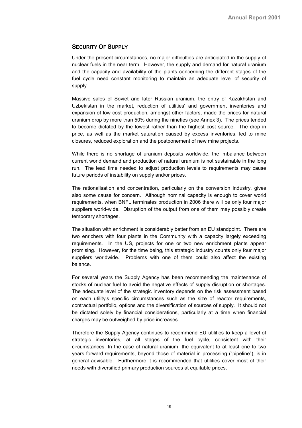# <span id="page-22-0"></span>**SECURITY OF SUPPLY**

Under the present circumstances, no major difficulties are anticipated in the supply of nuclear fuels in the near term. However, the supply and demand for natural uranium and the capacity and availability of the plants concerning the different stages of the fuel cycle need constant monitoring to maintain an adequate level of security of supply.

Massive sales of Soviet and later Russian uranium, the entry of Kazakhstan and Uzbekistan in the market, reduction of utilities' and government inventories and expansion of low cost production, amongst other factors, made the prices for natural uranium drop by more than 50% during the nineties (see Annex 3). The prices tended to become dictated by the lowest rather than the highest cost source. The drop in price, as well as the market saturation caused by excess inventories, led to mine closures, reduced exploration and the postponement of new mine projects.

While there is no shortage of uranium deposits worldwide, the imbalance between current world demand and production of natural uranium is not sustainable in the long run. The lead time needed to adjust production levels to requirements may cause future periods of instability on supply and/or prices.

The rationalisation and concentration, particularly on the conversion industry, gives also some cause for concern. Although nominal capacity is enough to cover world requirements, when BNFL terminates production in 2006 there will be only four major suppliers world-wide. Disruption of the output from one of them may possibly create temporary shortages.

The situation with enrichment is considerably better from an EU standpoint. There are two enrichers with four plants in the Community with a capacity largely exceeding requirements. In the US, projects for one or two new enrichment plants appear promising. However, for the time being, this strategic industry counts only four major suppliers worldwide. Problems with one of them could also affect the existing balance.

For several years the Supply Agency has been recommending the maintenance of stocks of nuclear fuel to avoid the negative effects of supply disruption or shortages. The adequate level of the strategic inventory depends on the risk assessment based on each utility's specific circumstances such as the size of reactor requirements, contractual portfolio, options and the diversification of sources of supply. It should not be dictated solely by financial considerations, particularly at a time when financial charges may be outweighed by price increases.

Therefore the Supply Agency continues to recommend EU utilities to keep a level of strategic inventories, at all stages of the fuel cycle, consistent with their circumstances. In the case of natural uranium, the equivalent to at least one to two years forward requirements, beyond those of material in processing ("pipeline"), is in general advisable. Furthermore it is recommended that utilities cover most of their needs with diversified primary production sources at equitable prices.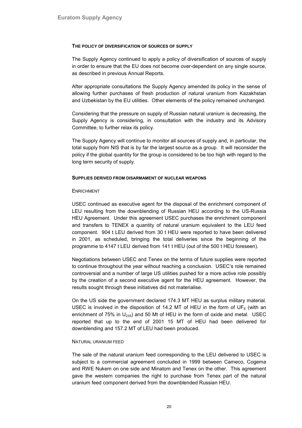#### <span id="page-23-0"></span>**THE POLICY OF DIVERSIFICATION OF SOURCES OF SUPPLY**

The Supply Agency continued to apply a policy of diversification of sources of supply in order to ensure that the EU does not become over-dependent on any single source, as described in previous Annual Reports.

After appropriate consultations the Supply Agency amended its policy in the sense of allowing further purchases of fresh production of natural uranium from Kazakhstan and Uzbekistan by the EU utilities. Other elements of the policy remained unchanged.

Considering that the pressure on supply of Russian natural uranium is decreasing, the Supply Agency is considering, in consultation with the industry and its Advisory Committee, to further relax its policy.

The Supply Agency will continue to monitor all sources of supply and, in particular, the total supply from NIS that is by far the largest source as a group. It will reconsider the policy if the global quantity for the group is considered to be too high with regard to the long term security of supply.

## **SUPPLIES DERIVED FROM DISARMAMENT OF NUCLEAR WEAPONS**

## ENRICHMENT

USEC continued as executive agent for the disposal of the enrichment component of LEU resulting from the downblending of Russian HEU according to the US-Russia HEU Agreement. Under this agreement USEC purchases the enrichment component and transfers to TENEX a quantity of natural uranium equivalent to the LEU feed component. 904 t LEU derived from 30 t HEU were reported to have been delivered in 2001, as scheduled, bringing the total deliveries since the beginning of the programme to 4147 t LEU derived from 141 t HEU (out of the 500 t HEU foreseen).

Negotiations between USEC and Tenex on the terms of future supplies were reported to continue throughout the year without reaching a conclusion. USEC's role remained controversial and a number of large US utilities pushed for a more active role possibly by the creation of a second executive agent for the HEU agreement. However, the results sought through these initiatives did not materialise.

On the US side the government declared 174.3 MT HEU as surplus military material. USEC is involved in the disposition of 14.2 MT of HEU in the form of UF $_6$  (with an enrichment of 75% in  $U_{235}$ ) and 50 Mt of HEU in the form of oxide and metal. USEC reported that up to the end of 2001 15 MT of HEU had been delivered for downblending and 157.2 MT of LEU had been produced.

#### NATURAL URANIUM FEED

The sale of the natural uranium feed corresponding to the LEU delivered to USEC is subject to a commercial agreement concluded in 1999 between Cameco, Cogema and RWE Nukem on one side and Minatom and Tenex on the other. This agreement gave the western companies the right to purchase from Tenex part of the natural uranium feed component derived from the downblended Russian HEU.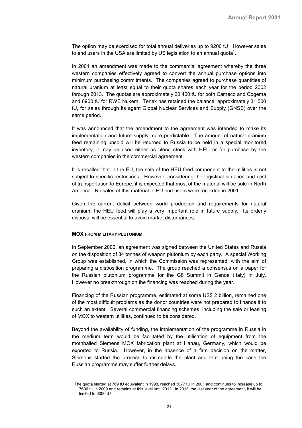<span id="page-24-0"></span>The option may be exercised for total annual deliveries up to 9200 tU. However sales to end users in the USA are limited by US legislation to an annual quota $^1$ .

In 2001 an amendment was made to the commercial agreement whereby the three western companies effectively agreed to convert the annual purchase options into minimum purchasing commitments. The companies agreed to purchase quantities of natural uranium at least equal to their quota shares each year for the period 2002 through 2013. The quotas are approximately 20,400 tU for both Cameco and Cogema and 6900 tU for RWE Nukem. Tenex has retained the balance, approximately 31,500 tU**,** for sales through its agent Global Nuclear Services and Supply (GNSS) over the same period.

It was announced that the amendment to the agreement was intended to make its implementation and future supply more predictable. The amount of natural uranium feed remaining unsold will be returned to Russia to be held in a special monitored inventory, it may be used either as blend stock with HEU or for purchase by the western companies in the commercial agreement.

It is recalled that in the EU, the sale of the HEU feed component to the utilities is not subject to specific restrictions. However, considering the logistical situation and cost of transportation to Europe, it is expected that most of the material will be sold in North America. No sales of this material to EU end users were recorded in 2001.

Given the current deficit between world production and requirements for natural uranium, the HEU feed will play a very important role in future supply. Its orderly disposal will be essential to avoid market disturbances.

#### **MOX FROM MILITARY PLUTONIUM**

 $\overline{a}$ 

In September 2000, an agreement was signed between the United States and Russia on the disposition of 34 tonnes of weapon plutonium by each party. A special Working Group was established, in which the Commission was represented, with the aim of preparing a disposition programme. The group reached a consensus on a paper for the Russian plutonium programme for the G8 Summit in Genoa (Italy) in July. However no breakthrough on the financing was reached during the year.

Financing of the Russian programme, estimated at some US\$ 2 billion, remained one of the most difficult problems as the donor countries were not prepared to finance it to such an extent. Several commercial financing schemes, including the sale or leasing of MOX to western utilities, continued to be considered.

Beyond the availability of funding, the implementation of the programme in Russia in the medium term would be facilitated by the utilisation of equipment from the mothballed Siemens MOX fabrication plant at Hanau, Germany, which would be exported to Russia. However, in the absence of a firm decision on the matter, Siemens started the process to dismantle the plant and that being the case the Russian programme may suffer further delays.

<sup>1</sup> The quota started at 769 tU equivalent in 1998, reached 3077 tU in 2001 and continues to increase up to 7690 tU in 2009 and remains at this level until 2012. In 2013, the last year of the agreement, it will be limited to 6000 tU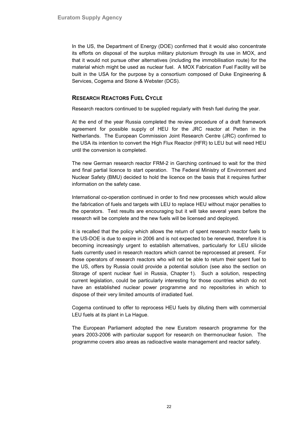<span id="page-25-0"></span>In the US, the Department of Energy (DOE) confirmed that it would also concentrate its efforts on disposal of the surplus military plutonium through its use in MOX, and that it would not pursue other alternatives (including the immobilisation route) for the material which might be used as nuclear fuel. A MOX Fabrication Fuel Facility will be built in the USA for the purpose by a consortium composed of Duke Engineering & Services, Cogema and Stone & Webster (DCS).

# **RESEARCH REACTORS FUEL CYCLE**

Research reactors continued to be supplied regularly with fresh fuel during the year.

At the end of the year Russia completed the review procedure of a draft framework agreement for possible supply of HEU for the JRC reactor at Petten in the Netherlands. The European Commission Joint Research Centre (JRC) confirmed to the USA its intention to convert the High Flux Reactor (HFR) to LEU but will need HEU until the conversion is completed.

The new German research reactor FRM-2 in Garching continued to wait for the third and final partial licence to start operation. The Federal Ministry of Environment and Nuclear Safety (BMU) decided to hold the licence on the basis that it requires further information on the safety case.

International co-operation continued in order to find new processes which would allow the fabrication of fuels and targets with LEU to replace HEU without major penalties to the operators. Test results are encouraging but it will take several years before the research will be complete and the new fuels will be licensed and deployed.

It is recalled that the policy which allows the return of spent research reactor fuels to the US-DOE is due to expire in 2006 and is not expected to be renewed, therefore it is becoming increasingly urgent to establish alternatives, particularly for LEU silicide fuels currently used in research reactors which cannot be reprocessed at present. For those operators of research reactors who will not be able to return their spent fuel to the US, offers by Russia could provide a potential solution (see also the section on Storage of spent nuclear fuel in Russia, Chapter 1). Such a solution, respecting current legislation, could be particularly interesting for those countries which do not have an established nuclear power programme and no repositories in which to dispose of their very limited amounts of irradiated fuel.

Cogema continued to offer to reprocess HEU fuels by diluting them with commercial LEU fuels at its plant in La Hague.

The European Parliament adopted the new Euratom research programme for the years 2003-2006 with particular support for research on thermonuclear fusion. The programme covers also areas as radioactive waste management and reactor safety.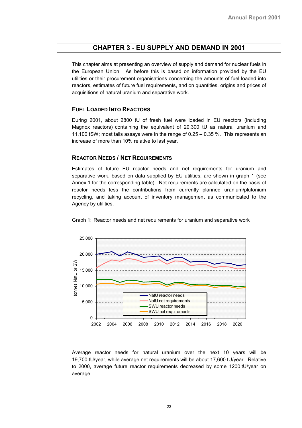# **CHAPTER 3 - EU SUPPLY AND DEMAND IN 2001**

<span id="page-26-0"></span>This chapter aims at presenting an overview of supply and demand for nuclear fuels in the European Union. As before this is based on information provided by the EU utilities or their procurement organisations concerning the amounts of fuel loaded into reactors, estimates of future fuel requirements, and on quantities, origins and prices of acquisitions of natural uranium and separative work.

# **FUEL LOADED INTO REACTORS**

During 2001, about 2800 tU of fresh fuel were loaded in EU reactors (including Magnox reactors) containing the equivalent of 20,300 tU as natural uranium and 11,100 tSW; most tails assays were in the range of 0.25 – 0.35 %. This represents an increase of more than 10% relative to last year.

# **REACTOR NEEDS / NET REQUIREMENTS**

Estimates of future EU reactor needs and net requirements for uranium and separative work, based on data supplied by EU utilities, are shown in graph 1 (see Annex 1 for the corresponding table). Net requirements are calculated on the basis of reactor needs less the contributions from currently planned uranium/plutonium recycling, and taking account of inventory management as communicated to the Agency by utilities.



Graph 1: Reactor needs and net requirements for uranium and separative work

Average reactor needs for natural uranium over the next 10 years will be 19,700 tU/year, while average net requirements will be about 17,600 tU/year. Relative to 2000, average future reactor requirements decreased by some 1200 tU/year on average.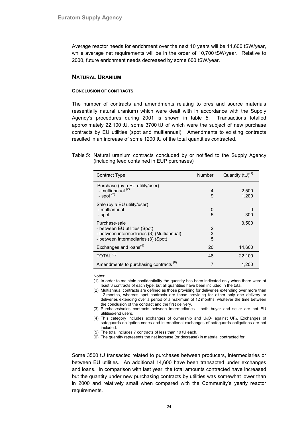<span id="page-27-0"></span>Average reactor needs for enrichment over the next 10 years will be 11,600 tSW/year, while average net requirements will be in the order of 10,700 tSW/year. Relative to 2000, future enrichment needs decreased by some 600 tSW/year.

# **NATURAL URANIUM**

#### **CONCLUSION OF CONTRACTS**

The number of contracts and amendments relating to ores and source materials (essentially natural uranium) which were dealt with in accordance with the Supply Agency's procedures during 2001 is shown in table 5. Transactions totalled approximately 22,100 tU, some 3700 tU of which were the subject of new purchase contracts by EU utilities (spot and multiannual). Amendments to existing contracts resulted in an increase of some 1200 tU of the total quantities contracted.

#### Table 5: Natural uranium contracts concluded by or notified to the Supply Agency (including feed contained in EUP purchases)

| Contract Type                                                                                                                       | <b>Number</b> | Quantity $(U)^{(1)}$ |
|-------------------------------------------------------------------------------------------------------------------------------------|---------------|----------------------|
| Purchase (by a EU utility/user)<br>- multiannual $(2)$<br>- spot $(2)$                                                              | 4<br>9        | 2,500<br>1,200       |
| Sale (by a EU utility/user)<br>- multiannual<br>- spot                                                                              | 0<br>5        | O<br>300             |
| Purchase-sale<br>- between EU utilities (Spot)<br>- between intermediaries (3) (Multiannual)<br>- between intermediaries (3) (Spot) | 2<br>3<br>5   | 3,500                |
| Exchanges and loans <sup>(4)</sup>                                                                                                  | 20            | 14,600               |
| TOTAL <sup>(5)</sup>                                                                                                                | 48            | 22,100               |
| Amendments to purchasing contracts <sup>(6)</sup>                                                                                   | 7             | 1,200                |

Notes:

(1) In order to maintain confidentiality the quantity has been indicated only when there were at least 3 contracts of each type, but all quantities have been included in the total.

(2) Multiannual contracts are defined as those providing for deliveries extending over more than 12 months, whereas spot contracts are those providing for either only one delivery or deliveries extending over a period of a maximum of 12 months, whatever the time between the conclusion of the contract and the first delivery.

(3) Purchases/sales contracts between intermediaries - both buyer and seller are not EU utilities/end users.

(4) This category includes exchanges of ownership and  $U_3O_8$  against UF<sub>6</sub>. Exchanges of safeguards obligation codes and international exchanges of safeguards obligations are not included.

(5) The total includes 7 contracts of less than 10 tU each.

(6) The quantity represents the net increase (or decrease) in material contracted for.

Some 3500 tU transacted related to purchases between producers, intermediaries or between EU utilities. An additional 14,600 have been transacted under exchanges and loans. In comparison with last year, the total amounts contracted have increased but the quantity under new purchasing contracts by utilities was somewhat lower than in 2000 and relatively small when compared with the Community's yearly reactor requirements.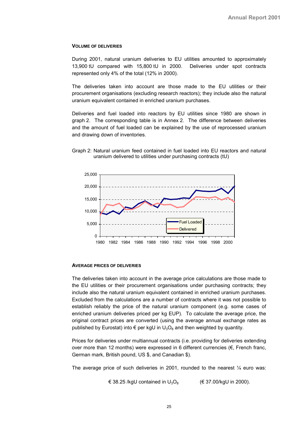#### <span id="page-28-0"></span>**VOLUME OF DELIVERIES**

During 2001, natural uranium deliveries to EU utilities amounted to approximately 13,900 tU compared with 15,800 tU in 2000. Deliveries under spot contracts represented only 4% of the total (12% in 2000).

The deliveries taken into account are those made to the EU utilities or their procurement organisations (excluding research reactors); they include also the natural uranium equivalent contained in enriched uranium purchases.

Deliveries and fuel loaded into reactors by EU utilities since 1980 are shown in graph 2. The corresponding table is in Annex 2. The difference between deliveries and the amount of fuel loaded can be explained by the use of reprocessed uranium and drawing down of inventories.





#### **AVERAGE PRICES OF DELIVERIES**

The deliveries taken into account in the average price calculations are those made to the EU utilities or their procurement organisations under purchasing contracts; they include also the natural uranium equivalent contained in enriched uranium purchases. Excluded from the calculations are a number of contracts where it was not possible to establish reliably the price of the natural uranium component (e.g. some cases of enriched uranium deliveries priced per kg EUP). To calculate the average price, the original contract prices are converted (using the average annual exchange rates as published by Eurostat) into  $\epsilon$  per kgU in  $U_3O_8$  and then weighted by quantity.

Prices for deliveries under multiannual contracts (i.e. providing for deliveries extending over more than 12 months) were expressed in 6 different currencies ( $\epsilon$ , French franc, German mark, British pound, US \$, and Canadian \$).

The average price of such deliveries in 2001, rounded to the nearest  $\frac{1}{4}$  euro was:

 $\in$  38.25 /kgU contained in U<sub>3</sub>O<sub>8</sub>  $\in$  37.00/kgU in 2000).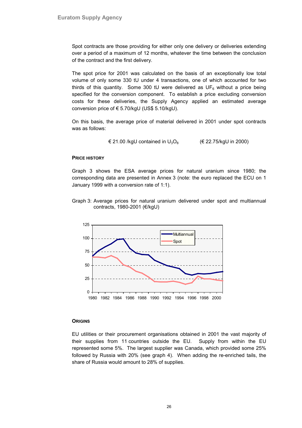<span id="page-29-0"></span>Spot contracts are those providing for either only one delivery or deliveries extending over a period of a maximum of 12 months, whatever the time between the conclusion of the contract and the first delivery.

The spot price for 2001 was calculated on the basis of an exceptionally low total volume of only some 330 tU under 4 transactions, one of which accounted for two thirds of this quantity. Some 300 tU were delivered as  $UF<sub>6</sub>$  without a price being specified for the conversion component. To establish a price excluding conversion costs for these deliveries, the Supply Agency applied an estimated average conversion price of € 5.70/kgU (US\$ 5.10/kgU).

On this basis, the average price of material delivered in 2001 under spot contracts was as follows:

$$
\in 21.00 \text{ /kgU contained in } U_3O_8 \qquad (\in 22.75 \text{ /kgU in } 2000)
$$

## **PRICE HISTORY**

Graph 3 shows the ESA average prices for natural uranium since 1980; the corresponding data are presented in Annex 3 (note: the euro replaced the ECU on 1 January 1999 with a conversion rate of 1:1).

Graph 3: Average prices for natural uranium delivered under spot and multiannual contracts, 1980-2001 (€/kgU)



#### **ORIGINS**

EU utilities or their procurement organisations obtained in 2001 the vast majority of their supplies from 11 countries outside the EU. Supply from within the EU represented some 5%. The largest supplier was Canada, which provided some 25% followed by Russia with 20% (see graph 4). When adding the re-enriched tails, the share of Russia would amount to 28% of supplies.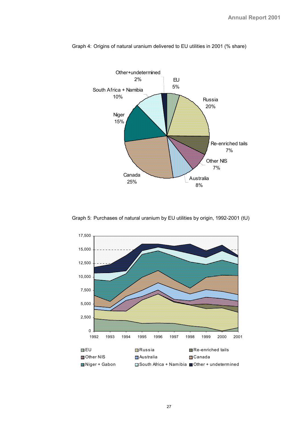

Graph 4: Origins of natural uranium delivered to EU utilities in 2001 (% share)



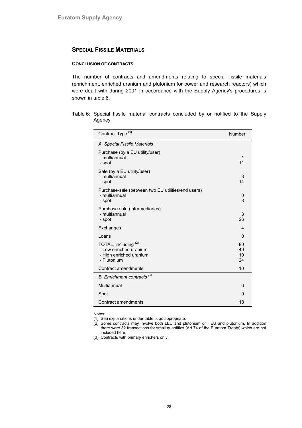# <span id="page-31-0"></span>**SPECIAL FISSILE MATERIALS**

# **CONCLUSION OF CONTRACTS**

The number of contracts and amendments relating to special fissile materials (enrichment, enriched uranium and plutonium for power and research reactors) which were dealt with during 2001 in accordance with the Supply Agency's procedures is shown in table 6.

Table 6: Special fissile material contracts concluded by or notified to the Supply Agency

| Contract Type <sup>(1)</sup>                                                             | Number               |
|------------------------------------------------------------------------------------------|----------------------|
| A. Special Fissile Materials                                                             |                      |
| Purchase (by a EU utility/user)<br>- multiannual<br>- spot                               | 1<br>11              |
| Sale (by a EU utility/user)<br>- multiannual<br>- spot                                   | 3<br>14              |
| Purchase-sale (between two EU utilities/end users)<br>- multiannual<br>- spot            | 0<br>8               |
| Purchase-sale (intermediaries)<br>- multiannual<br>- spot                                | 3<br>26              |
| Exchanges                                                                                | 4                    |
| Loans                                                                                    | $\Omega$             |
| TOTAL, including (2)<br>- Low enriched uranium<br>- High enriched uranium<br>- Plutonium | 80<br>49<br>10<br>24 |
| Contract amendments                                                                      | 10                   |
| B. Enrichment contracts <sup>(3)</sup>                                                   |                      |
| Multiannual                                                                              | 6                    |
| Spot                                                                                     | 0                    |
| Contract amendments                                                                      | 18                   |

Notes:

(1) See explanations under table 5, as appropriate.

(2) Some contracts may involve both LEU and plutonium or HEU and plutonium. In addition there were 32 transactions for small quantities (Art 74 of the Euratom Treaty) which are not included here.

(3) Contracts with primary enrichers only.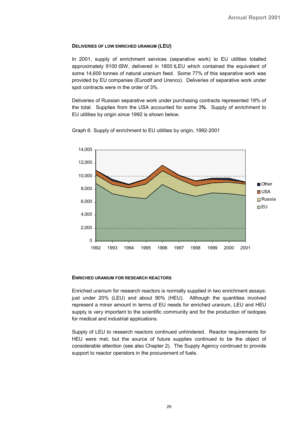## <span id="page-32-0"></span>**DELIVERIES OF LOW ENRICHED URANIUM (LEU)**

In 2001, supply of enrichment services (separative work) to EU utilities totalled approximately 9100 tSW, delivered in 1800 tLEU which contained the equivalent of some 14,600 tonnes of natural uranium feed. Some 77% of this separative work was provided by EU companies (Eurodif and Urenco). Deliveries of separative work under spot contracts were in the order of 3%.

Deliveries of Russian separative work under purchasing contracts represented 19% of the total. Supplies from the USA accounted for some 3**%**. Supply of enrichment to EU utilities by origin since 1992 is shown below.



Graph 6: Supply of enrichment to EU utilities by origin, 1992-2001

#### **ENRICHED URANIUM FOR RESEARCH REACTORS**

Enriched uranium for research reactors is normally supplied in two enrichment assays: just under 20% (LEU) and about 90% (HEU). Although the quantities involved represent a minor amount in terms of EU needs for enriched uranium, LEU and HEU supply is very important to the scientific community and for the production of isotopes for medical and industrial applications.

Supply of LEU to research reactors continued unhindered. Reactor requirements for HEU were met, but the source of future supplies continued to be the object of considerable attention (see also Chapter 2). The Supply Agency continued to provide support to reactor operators in the procurement of fuels.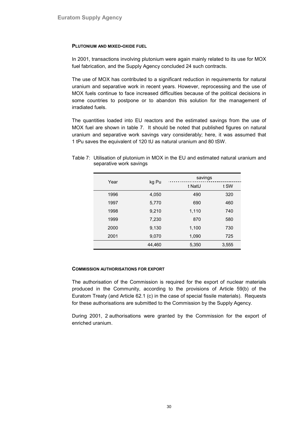#### <span id="page-33-0"></span>**PLUTONIUM AND MIXED-OXIDE FUEL**

In 2001, transactions involving plutonium were again mainly related to its use for MOX fuel fabrication, and the Supply Agency concluded 24 such contracts.

The use of MOX has contributed to a significant reduction in requirements for natural uranium and separative work in recent years. However, reprocessing and the use of MOX fuels continue to face increased difficulties because of the political decisions in some countries to postpone or to abandon this solution for the management of irradiated fuels.

The quantities loaded into EU reactors and the estimated savings from the use of MOX fuel are shown in table 7. It should be noted that published figures on natural uranium and separative work savings vary considerably; here, it was assumed that 1 tPu saves the equivalent of 120 tU as natural uranium and 80 tSW.

|      |        | savings |       |
|------|--------|---------|-------|
| Year | kg Pu  | t NatU  | t SW  |
| 1996 | 4,050  | 490     | 320   |
| 1997 | 5,770  | 690     | 460   |
| 1998 | 9,210  | 1,110   | 740   |
| 1999 | 7,230  | 870     | 580   |
| 2000 | 9,130  | 1,100   | 730   |
| 2001 | 9,070  | 1,090   | 725   |
|      | 44,460 | 5,350   | 3,555 |

Table 7: Utilisation of plutonium in MOX in the EU and estimated natural uranium and separative work savings

#### **COMMISSION AUTHORISATIONS FOR EXPORT**

The authorisation of the Commission is required for the export of nuclear materials produced in the Community, according to the provisions of Article 59(b) of the Euratom Treaty (and Article 62.1 (c) in the case of special fissile materials). Requests for these authorisations are submitted to the Commission by the Supply Agency.

During 2001, 2 authorisations were granted by the Commission for the export of enriched uranium.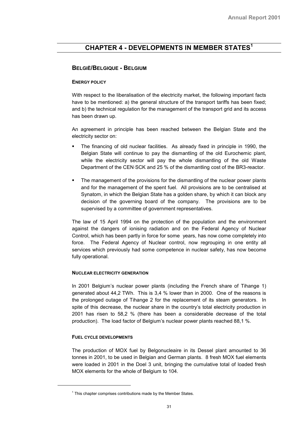# <span id="page-34-0"></span>**CHAPTER 4 - DEVELOPMENTS IN MEMBER STATES<sup>1</sup>**

# **BELGIË/BELGIQUE - BELGIUM**

# **ENERGY POLICY**

With respect to the liberalisation of the electricity market, the following important facts have to be mentioned: a) the general structure of the transport tariffs has been fixed; and b) the technical regulation for the management of the transport grid and its access has been drawn up.

An agreement in principle has been reached between the Belgian State and the electricity sector on:

- The financing of old nuclear facilities. As already fixed in principle in 1990, the Belgian State will continue to pay the dismantling of the old Eurochemic plant, while the electricity sector will pay the whole dismantling of the old Waste Department of the CEN·SCK and 25 % of the dismantling cost of the BR3-reactor.
- The management of the provisions for the dismantling of the nuclear power plants and for the management of the spent fuel. All provisions are to be centralised at Synatom, in which the Belgian State has a golden share, by which it can block any decision of the governing board of the company. The provisions are to be supervised by a committee of government representatives.

The law of 15 April 1994 on the protection of the population and the environment against the dangers of ionising radiation and on the Federal Agency of Nuclear Control, which has been partly in force for some years, has now come completely into force. The Federal Agency of Nuclear control, now regrouping in one entity all services which previously had some competence in nuclear safety, has now become fully operational.

#### **NUCLEAR ELECTRICITY GENERATION**

In 2001 Belgium's nuclear power plants (including the French share of Tihange 1) generated about 44,2 TWh. This is 3,4 % lower than in 2000. One of the reasons is the prolonged outage of Tihange 2 for the replacement of its steam generators. In spite of this decrease, the nuclear share in the country's total electricity production in 2001 has risen to 58,2 % (there has been a considerable decrease of the total production). The load factor of Belgium's nuclear power plants reached 88,1 %.

# **FUEL CYCLE DEVELOPMENTS**

 $\overline{a}$ 

The production of MOX fuel by Belgonucleaire in its Dessel plant amounted to 36 tonnes in 2001, to be used in Belgian and German plants. 8 fresh MOX fuel elements were loaded in 2001 in the Doel 3 unit, bringing the cumulative total of loaded fresh MOX elements for the whole of Belgium to 104.

 $1$  This chapter comprises contributions made by the Member States.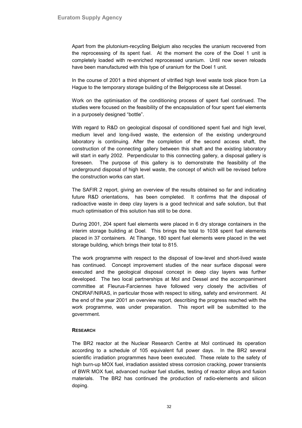Apart from the plutonium-recycling Belgium also recycles the uranium recovered from the reprocessing of its spent fuel. At the moment the core of the Doel 1 unit is completely loaded with re-enriched reprocessed uranium. Until now seven reloads have been manufactured with this type of uranium for the Doel 1 unit.

In the course of 2001 a third shipment of vitrified high level waste took place from La Hague to the temporary storage building of the Belgoprocess site at Dessel.

Work on the optimisation of the conditioning process of spent fuel continued. The studies were focused on the feasibility of the encapsulation of four spent fuel elements in a purposely designed "bottle".

With regard to R&D on geological disposal of conditioned spent fuel and high level, medium level and long-lived waste, the extension of the existing underground laboratory is continuing. After the completion of the second access shaft, the construction of the connecting gallery between this shaft and the existing laboratory will start in early 2002. Perpendicular to this connecting gallery, a disposal gallery is foreseen. The purpose of this gallery is to demonstrate the feasibility of the underground disposal of high level waste, the concept of which will be revised before the construction works can start.

The SAFIR 2 report, giving an overview of the results obtained so far and indicating future R&D orientations, has been completed. It confirms that the disposal of radioactive waste in deep clay layers is a good technical and safe solution, but that much optimisation of this solution has still to be done.

During 2001, 204 spent fuel elements were placed in 6 dry storage containers in the interim storage building at Doel. This brings the total to 1038 spent fuel elements placed in 37 containers. At Tihange, 180 spent fuel elements were placed in the wet storage building, which brings their total to 815.

The work programme with respect to the disposal of low-level and short-lived waste has continued. Concept improvement studies of the near surface disposal were executed and the geological disposal concept in deep clay layers was further developed. The two local partnerships at Mol and Dessel and the accompaniment committee at Fleurus-Farciennes have followed very closely the activities of ONDRAF/NIRAS, in particular those with respect to siting, safety and environment. At the end of the year 2001 an overview report, describing the progress reached with the work programme, was under preparation. This report will be submitted to the government.

# **RESEARCH**

The BR2 reactor at the Nuclear Research Centre at Mol continued its operation according to a schedule of 105 equivalent full power days. In the BR2 several scientific irradiation programmes have been executed. These relate to the safety of high burn-up MOX fuel, irradiation assisted stress corrosion cracking, power transients of BWR MOX fuel, advanced nuclear fuel studies, testing of reactor alloys and fusion materials. The BR2 has continued the production of radio-elements and silicon doping.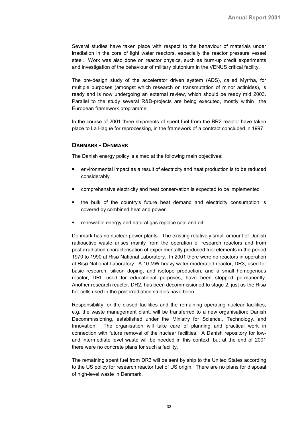<span id="page-36-0"></span>Several studies have taken place with respect to the behaviour of materials under irradiation in the core of light water reactors, especially the reactor pressure vessel steel. Work was also done on reactor physics, such as burn-up credit experiments and investigation of the behaviour of military plutonium in the VENUS critical facility.

The pre-design study of the accelerator driven system (ADS), called Myrrha, for multiple purposes (amongst which research on transmutation of minor actinides), is ready and is now undergoing an external review, which should be ready mid 2003. Parallel to the study several R&D-projects are being executed, mostly within the European framework programme.

In the course of 2001 three shipments of spent fuel from the BR2 reactor have taken place to La Hague for reprocessing, in the framework of a contract concluded in 1997.

# **DANMARK - DENMARK**

The Danish energy policy is aimed at the following main objectives:

- environmental impact as a result of electricity and heat production is to be reduced considerably
- comprehensive electricity and heat conservation is expected to be implemented
- the bulk of the country's future heat demand and electricity consumption is covered by combined heat and power
- renewable energy and natural gas replace coal and oil.

Denmark has no nuclear power plants. The existing relatively small amount of Danish radioactive waste arises mainly from the operation of research reactors and from post-irradiation characterisation of experimentally produced fuel elements in the period 1970 to 1990 at Risø National Laboratory. In 2001 there were no reactors in operation at Risø National Laboratory. A 10 MW heavy water moderated reactor, DR3, used for basic research, silicon doping, and isotope production, and a small homogenous reactor, DRI, used for educational purposes, have been stopped permanently. Another research reactor, DR2, has been decommissioned to stage 2, just as the Risø hot cells used in the post irradiation studies have been.

Responsibility for the closed facilities and the remaining operating nuclear facilities, e.g. the waste management plant, will be transferred to a new organisation: Danish Decommissioning, established under the Ministry for Science., Technology. and Innovation. The organisation will take care of planning and practical work in connection with future removal of the nuclear facilities. A Danish repository for lowand intermediate level waste will be needed in this context, but at the end of 2001 there were no concrete plans for such a facility.

The remaining spent fuel from DR3 will be sent by ship to the United States according to the US policy for research reactor fuel of US origin. There are no plans for disposal of high-level waste in Denmark.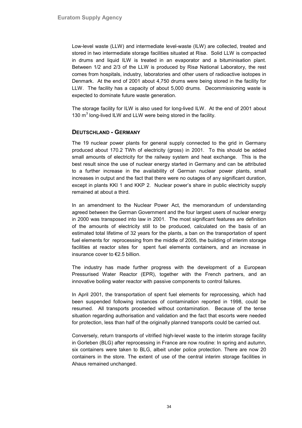<span id="page-37-0"></span>Low-level waste (LLW) and intermediate level-waste (ILW) are collected, treated and stored in two intermediate storage facilities situated at Risø. Solid LLW is compacted in drums and liquid ILW is treated in an evaporator and a bituminisation plant. Between 1/2 and 2/3 of the LLW is produced by Risø National Laboratory, the rest comes from hospitals, industry, laboratories and other users of radioactive isotopes in Denmark. At the end of 2001 about 4,750 drums were being stored in the facility for LLW. The facility has a capacity of about 5,000 drums. Decommissioning waste is expected to dominate future waste generation.

The storage facility for ILW is also used for long-lived ILW. At the end of 2001 about 130  $m<sup>3</sup>$  long-lived ILW and LLW were being stored in the facility.

# **DEUTSCHLAND - GERMANY**

The 19 nuclear power plants for general supply connected to the grid in Germany produced about 170.2 TWh of electricity (gross) in 2001. To this should be added small amounts of electricity for the railway system and heat exchange. This is the best result since the use of nuclear energy started in Germany and can be attributed to a further increase in the availability of German nuclear power plants, small increases in output and the fact that there were no outages of any significant duration, except in plants KKI 1 and KKP 2. Nuclear power's share in public electricity supply remained at about a third.

In an amendment to the Nuclear Power Act, the memorandum of understanding agreed between the German Government and the four largest users of nuclear energy in 2000 was transposed into law in 2001. The most significant features are definition of the amounts of electricity still to be produced, calculated on the basis of an estimated total lifetime of 32 years for the plants, a ban on the transportation of spent fuel elements for reprocessing from the middle of 2005, the building of interim storage facilities at reactor sites for spent fuel elements containers, and an increase in insurance cover to  $\epsilon$ 2.5 billion.

The industry has made further progress with the development of a European Pressurised Water Reactor (EPR), together with the French partners, and an innovative boiling water reactor with passive components to control failures.

In April 2001, the transportation of spent fuel elements for reprocessing, which had been suspended following instances of contamination reported in 1998, could be resumed. All transports proceeded without contamination. Because of the tense situation regarding authorisation and validation and the fact that escorts were needed for protection, less than half of the originally planned transports could be carried out.

Conversely, return transports of vitrified high-level waste to the interim storage facility in Gorleben (BLG) after reprocessing in France are now routine: In spring and autumn, six containers were taken to BLG, albeit under police protection. There are now 20 containers in the store. The extent of use of the central interim storage facilities in Ahaus remained unchanged.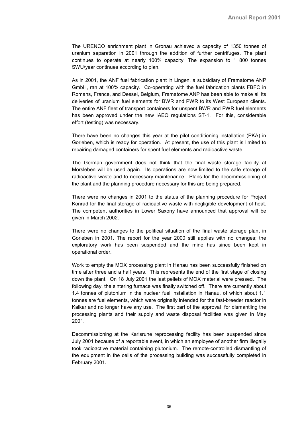The URENCO enrichment plant in Gronau achieved a capacity of 1350 tonnes of uranium separation in 2001 through the addition of further centrifuges. The plant continues to operate at nearly 100% capacity. The expansion to 1 800 tonnes SWU/year continues according to plan.

As in 2001, the ANF fuel fabrication plant in Lingen, a subsidiary of Framatome ANP GmbH, ran at 100% capacity. Co-operating with the fuel fabrication plants FBFC in Romans, France, and Dessel, Belgium, Framatome ANP has been able to make all its deliveries of uranium fuel elements for BWR and PWR to its West European clients. The entire ANF fleet of transport containers for unspent BWR and PWR fuel elements has been approved under the new IAEO regulations ST-1. For this, considerable effort (testing) was necessary.

There have been no changes this year at the pilot conditioning installation (PKA) in Gorleben, which is ready for operation. At present, the use of this plant is limited to repairing damaged containers for spent fuel elements and radioactive waste.

The German government does not think that the final waste storage facility at Morsleben will be used again. Its operations are now limited to the safe storage of radioactive waste and to necessary maintenance. Plans for the decommissioning of the plant and the planning procedure necessary for this are being prepared.

There were no changes in 2001 to the status of the planning procedure for Project Konrad for the final storage of radioactive waste with negligible development of heat. The competent authorities in Lower Saxony have announced that approval will be given in March 2002.

There were no changes to the political situation of the final waste storage plant in Gorleben in 2001. The report for the year 2000 still applies with no changes; the exploratory work has been suspended and the mine has since been kept in operational order.

Work to empty the MOX processing plant in Hanau has been successfully finished on time after three and a half years. This represents the end of the first stage of closing down the plant. On 18 July 2001 the last pellets of MOX material were pressed. The following day, the sintering furnace was finally switched off. There are currently about 1.4 tonnes of plutonium in the nuclear fuel installation in Hanau, of which about 1.1 tonnes are fuel elements, which were originally intended for the fast-breeder reactor in Kalkar and no longer have any use. The first part of the approval for dismantling the processing plants and their supply and waste disposal facilities was given in May 2001.

Decommissioning at the Karlsruhe reprocessing facility has been suspended since July 2001 because of a reportable event, in which an employee of another firm illegally took radioactive material containing plutonium. The remote-controlled dismantling of the equipment in the cells of the processing building was successfully completed in February 2001.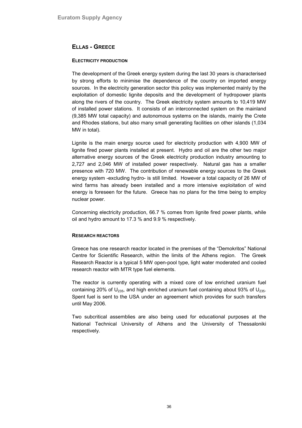# <span id="page-39-0"></span>**ELLAS - GREECE**

#### **ELECTRICITY PRODUCTION**

The development of the Greek energy system during the last 30 years is characterised by strong efforts to minimise the dependence of the country on imported energy sources. In the electricity generation sector this policy was implemented mainly by the exploitation of domestic lignite deposits and the development of hydropower plants along the rivers of the country. The Greek electricity system amounts to 10,419 MW of installed power stations. It consists of an interconnected system on the mainland (9,385 MW total capacity) and autonomous systems on the islands, mainly the Crete and Rhodes stations, but also many small generating facilities on other islands (1,034 MW in total).

Lignite is the main energy source used for electricity production with 4,900 MW of lignite fired power plants installed at present. Hydro and oil are the other two major alternative energy sources of the Greek electricity production industry amounting to 2,727 and 2,046 MW of installed power respectively. Natural gas has a smaller presence with 720 MW. The contribution of renewable energy sources to the Greek energy system -excluding hydro- is still limited. However a total capacity of 26 MW of wind farms has already been installed and a more intensive exploitation of wind energy is foreseen for the future. Greece has no plans for the time being to employ nuclear power.

Concerning electricity production, 66.7 % comes from lignite fired power plants, while oil and hydro amount to 17.3 % and 9.9 % respectively.

#### **RESEARCH REACTORS**

Greece has one research reactor located in the premises of the "Demokritos" National Centre for Scientific Research, within the limits of the Athens region. The Greek Research Reactor is a typical 5 MW open-pool type, light water moderated and cooled research reactor with MTR type fuel elements.

The reactor is currently operating with a mixed core of low enriched uranium fuel containing 20% of  $U_{235}$ , and high enriched uranium fuel containing about 93% of  $U_{235}$ . Spent fuel is sent to the USA under an agreement which provides for such transfers until May 2006.

Two subcritical assemblies are also being used for educational purposes at the National Technical University of Athens and the University of Thessaloniki respectively.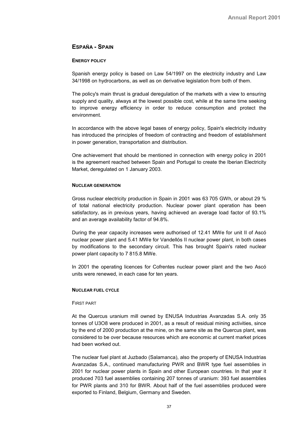# <span id="page-40-0"></span>**ESPAÑA - SPAIN**

#### **ENERGY POLICY**

Spanish energy policy is based on Law 54/1997 on the electricity industry and Law 34/1998 on hydrocarbons, as well as on derivative legislation from both of them.

The policy's main thrust is gradual deregulation of the markets with a view to ensuring supply and quality, always at the lowest possible cost, while at the same time seeking to improve energy efficiency in order to reduce consumption and protect the environment.

In accordance with the above legal bases of energy policy, Spain's electricity industry has introduced the principles of freedom of contracting and freedom of establishment in power generation, transportation and distribution.

One achievement that should be mentioned in connection with energy policy in 2001 is the agreement reached between Spain and Portugal to create the Iberian Electricity Market, deregulated on 1 January 2003.

#### **NUCLEAR GENERATION**

Gross nuclear electricity production in Spain in 2001 was 63 705 GWh, or about 29 % of total national electricity production. Nuclear power plant operation has been satisfactory, as in previous years, having achieved an average load factor of 93.1% and an average availability factor of 94.8%.

During the year capacity increases were authorised of 12.41 MWe for unit II of Ascó nuclear power plant and 5.41 MWe for Vandellós II nuclear power plant, in both cases by modifications to the secondary circuit. This has brought Spain's rated nuclear power plant capacity to 7 815.8 MWe.

In 2001 the operating licences for Cofrentes nuclear power plant and the two Ascó units were renewed, in each case for ten years.

#### **NUCLEAR FUEL CYCLE**

#### FIRST PART

At the Quercus uranium mill owned by ENUSA Industrias Avanzadas S.A. only 35 tonnes of U3O8 were produced in 2001, as a result of residual mining activities, since by the end of 2000 production at the mine, on the same site as the Quercus plant, was considered to be over because resources which are economic at current market prices had been worked out.

The nuclear fuel plant at Juzbado (Salamanca), also the property of ENUSA Industrias Avanzadas S.A., continued manufacturing PWR and BWR type fuel assemblies in 2001 for nuclear power plants in Spain and other European countries. In that year it produced 703 fuel assemblies containing 207 tonnes of uranium: 393 fuel assemblies for PWR plants and 310 for BWR. About half of the fuel assemblies produced were exported to Finland, Belgium, Germany and Sweden.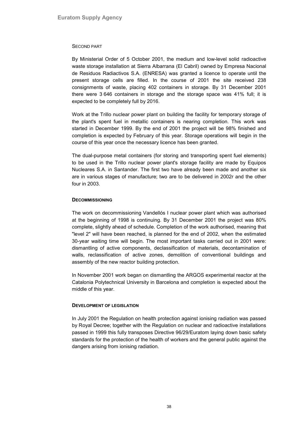# SECOND PART

By Ministerial Order of 5 October 2001, the medium and low-level solid radioactive waste storage installation at Sierra Albarrana (El Cabril) owned by Empresa Nacional de Residuos Radiactivos S.A. (ENRESA) was granted a licence to operate until the present storage cells are filled. In the course of 2001 the site received 238 consignments of waste, placing 402 containers in storage. By 31 December 2001 there were 3 646 containers in storage and the storage space was 41% full; it is expected to be completely full by 2016.

Work at the Trillo nuclear power plant on building the facility for temporary storage of the plant's spent fuel in metallic containers is nearing completion. This work was started in December 1999. By the end of 2001 the project will be 98% finished and completion is expected by February of this year. Storage operations will begin in the course of this year once the necessary licence has been granted.

The dual-purpose metal containers (for storing and transporting spent fuel elements) to be used in the Trillo nuclear power plant's storage facility are made by Equipos Nucleares S.A. in Santander. The first two have already been made and another six are in various stages of manufacture; two are to be delivered in 2002r and the other four in 2003.

# **DECOMMISSIONING**

The work on decommissioning Vandellós I nuclear power plant which was authorised at the beginning of 1998 is continuing. By 31 December 2001 the project was 80% complete, slightly ahead of schedule. Completion of the work authorised, meaning that "level 2" will have been reached, is planned for the end of 2002, when the estimated 30-year waiting time will begin. The most important tasks carried out in 2001 were: dismantling of active components, declassification of materials, decontamination of walls, reclassification of active zones, demolition of conventional buildings and assembly of the new reactor building protection.

In November 2001 work began on dismantling the ARGOS experimental reactor at the Catalonia Polytechnical University in Barcelona and completion is expected about the middle of this year.

# **DEVELOPMENT OF LEGISLATION**

In July 2001 the Regulation on health protection against ionising radiation was passed by Royal Decree; together with the Regulation on nuclear and radioactive installations passed in 1999 this fully transposes Directive 96/29/Euratom laying down basic safety standards for the protection of the health of workers and the general public against the dangers arising from ionising radiation.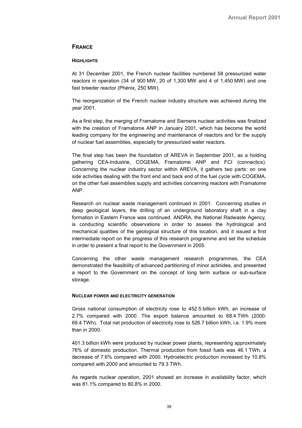# <span id="page-42-0"></span>**FRANCE**

# **HIGHLIGHTS**

At 31 December 2001, the French nuclear facilities numbered 58 pressurized water reactors in operation (34 of 900 MW, 20 of 1,300 MW and 4 of 1,450 MW) and one fast breeder reactor (Phénix, 250 MW).

The reorganization of the French nuclear industry structure was achieved during the year 2001.

As a first step, the merging of Framatome and Siemens nuclear activities was finalized with the creation of Framatome ANP in January 2001, which has become the world leading company for the engineering and maintenance of reactors and for the supply of nuclear fuel assemblies, especially for pressurized water reactors.

The final step has been the foundation of AREVA in September 2001, as a holding gathering CEA-Industrie, COGEMA, Framatome ANP and FCI (connectics). Concerning the nuclear industry sector within AREVA, it gathers two parts: on one side activities dealing with the front end and back end of the fuel cycle with COGEMA, on the other fuel assemblies supply and activities concerning reactors with Framatome ANP.

Research on nuclear waste management continued in 2001. Concerning studies in deep geological layers, the drilling of an underground laboratory shaft in a clay formation in Eastern France was continued. ANDRA, the National Radwaste Agency, is conducting scientific observations in order to assess the hydrological and mechanical qualities of the geological structure of this location, and it issued a first intermediate report on the progress of this research programme and set the schedule in order to present a final report to the Government in 2005.

Concerning the other waste management research programmes, the CEA demonstrated the feasibility of advanced partitioning of minor actinides, and presented a report to the Government on the concept of long term surface or sub-surface storage.

# **NUCLEAR POWER AND ELECTRICITY GENERATION**

Gross national consumption of electricity rose to 452.5 billion kWh, an increase of 2.7% compared with 2000. The export balance amounted to 68.4 TWh (2000: 69.4 TWh). Total net production of electricity rose to 526.7 billion kWh, i.e. 1.9% more than in 2000.

401.3 billion kWh were produced by nuclear power plants, representing approximately 76% of domestic production. Thermal production from fossil fuels was 46.1 TWh, a decrease of 7.6% compared with 2000. Hydroelectric production increased by 10.8% compared with 2000 and amounted to 79.3 TWh.

As regards nuclear operation, 2001 showed an increase in availability factor, which was 81.1% compared to 80.8% in 2000.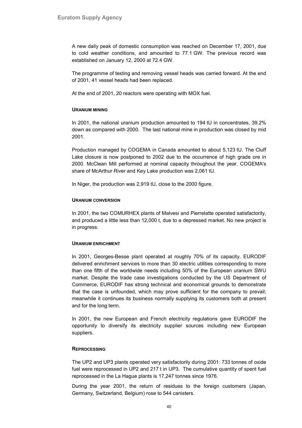A new daily peak of domestic consumption was reached on December 17, 2001, due to cold weather conditions, and amounted to 77.1 GW. The previous record was established on January 12, 2000 at 72.4 GW.

The programme of testing and removing vessel heads was carried forward. At the end of 2001, 41 vessel heads had been replaced.

At the end of 2001, 20 reactors were operating with MOX fuel.

## **URANIUM MINING**

In 2001, the national uranium production amounted to 194 tU in concentrates, 39.2% down as compared with 2000. The last national mine in production was closed by mid 2001.

Production managed by COGEMA in Canada amounted to about 5,123 tU. The Cluff Lake closure is now postponed to 2002 due to the occurrence of high grade ore in 2000. McClean Mill performed at nominal capacity throughout the year. COGEMA's share of McArthur River and Key Lake production was 2,061 tU.

In Niger, the production was 2,919 tU, close to the 2000 figure.

## **URANIUM CONVERSION**

In 2001, the two COMURHEX plants of Malvesi and Pierrelatte operated satisfactorily, and produced a little less than 12,000 t, due to a depressed market. No new project is in progress.

# **URANIUM ENRICHMENT**

In 2001, Georges-Besse plant operated at roughly 70% of its capacity. EURODIF delivered enrichment services to more than 30 electric utilities corresponding to more than one fifth of the worldwide needs including 50% of the European uranium SWU market. Despite the trade case investigations conducted by the US Department of Commerce, EURODIF has strong technical and economical grounds to demonstrate that the case is unfounded, which may prove sufficient for the company to prevail; meanwhile it continues its business normally supplying its customers both at present and for the long term.

In 2001, the new European and French electricity regulations gave EURODIF the opportunity to diversify its electricity supplier sources including new European suppliers.

#### **REPROCESSING**

The UP2 and UP3 plants operated very satisfactorily during 2001: 733 tonnes of oxide fuel were reprocessed in UP2 and 217 t in UP3. The cumulative quantity of spent fuel reprocessed in the La Hague plants is 17,247 tonnes since 1976.

During the year 2001, the return of residues to the foreign customers (Japan, Germany, Switzerland, Belgium) rose to 544 canisters.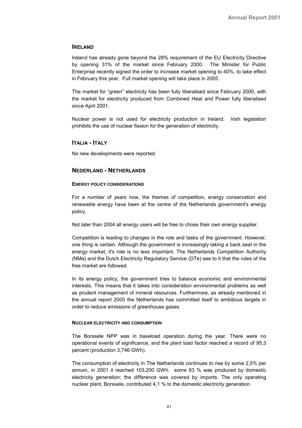# <span id="page-44-0"></span>**IRELAND**

Ireland has already gone beyond the 28% requirement of the EU Electricity Directive by opening 31% of the market since February 2000. The Minister for Public Enterprise recently signed the order to increase market opening to 40%, to take effect in February this year. Full market opening will take place in 2005.

The market for "green" electricity has been fully liberalised since February 2000, with the market for electricity produced from Combined Heat and Power fully liberalised since April 2001.

Nuclear power is not used for electricity production in Ireland. Irish legislation prohibits the use of nuclear fission for the generation of electricity.

## **ITALIA - ITALY**

No new developments were reported.

# **NEDERLAND - NETHERLANDS**

#### **ENERGY POLICY CONSIDERATIONS**

For a number of years now, the themes of competition, energy conservation and renewable energy have been at the centre of the Netherlands government's energy policy.

Not later than 2004 all energy users will be free to chose their own energy supplier.

Competition is leading to changes in the role and tasks of the government. However, one thing is certain. Although the government is increasingly taking a back seat in the energy market, it's role is no less important. The Netherlands Competition Authority (NMa) and the Dutch Electricity Regulatory Service (DTe) see to it that the rules of the free market are followed.

In its energy policy, the government tries to balance economic and environmental interests. This means that it takes into consideration environmental problems as well as prudent management of mineral resources. Furthermore, as already mentioned in the annual report 2000 the Netherlands has committed itself to ambitious targets in order to reduce emissions of greenhouse gases.

#### **NUCLEAR ELECTRICITY AND CONSUMPTION**

The Borssele NPP was in baseload operation during the year. There were no operational events of significance, and the plant load factor reached a record of 95,3 percent (production 3,746 GWh).

The consumption of electricity in The Netherlands continues to rise by some 2,5% per annum, in 2001 it reached 103,200 GWh. some 83 % was produced by domestic electricity generation; the difference was covered by imports. The only operating nuclear plant, Borssele, contributed 4,1 % to the domestic electricity generation.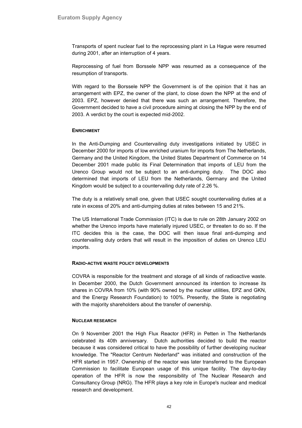Transports of spent nuclear fuel to the reprocessing plant in La Hague were resumed during 2001, after an interruption of 4 years.

Reprocessing of fuel from Borssele NPP was resumed as a consequence of the resumption of transports.

With regard to the Borssele NPP the Government is of the opinion that it has an arrangement with EPZ, the owner of the plant, to close down the NPP at the end of 2003. EPZ, however denied that there was such an arrangement. Therefore, the Government decided to have a civil procedure aiming at closing the NPP by the end of 2003. A verdict by the court is expected mid-2002.

# **ENRICHMENT**

In the Anti-Dumping and Countervailing duty investigations initiated by USEC in December 2000 for imports of low enriched uranium for imports from The Netherlands, Germany and the United Kingdom, the United States Department of Commerce on 14 December 2001 made public its Final Determination that imports of LEU from the Urenco Group would not be subject to an anti-dumping duty. The DOC also determined that imports of LEU from the Netherlands, Germany and the United Kingdom would be subject to a countervailing duty rate of 2.26 %.

The duty is a relatively small one, given that USEC sought countervailing duties at a rate in excess of 20% and anti-dumping duties at rates between 15 and 21%.

The US International Trade Commission (ITC) is due to rule on 28th January 2002 on whether the Urenco imports have materially injured USEC, or threaten to do so. If the ITC decides this is the case, the DOC will then issue final anti-dumping and countervailing duty orders that will result in the imposition of duties on Urenco LEU imports.

# **RADIO-ACTIVE WASTE POLICY DEVELOPMENTS**

COVRA is responsible for the treatment and storage of all kinds of radioactive waste. In December 2000, the Dutch Government announced its intention to increase its shares in COVRA from 10% (with 90% owned by the nuclear utilities, EPZ and GKN, and the Energy Research Foundation) to 100%. Presently, the State is negotiating with the majority shareholders about the transfer of ownership.

#### **NUCLEAR RESEARCH**

On 9 November 2001 the High Flux Reactor (HFR) in Petten in The Netherlands celebrated its 40th anniversary. Dutch authorities decided to build the reactor because it was considered critical to have the possibility of further developing nuclear knowledge. The "Reactor Centrum Nederland" was initiated and construction of the HFR started in 1957. Ownership of the reactor was later transferred to the European Commission to facilitate European usage of this unique facility. The day-to-day operation of the HFR is now the responsibility of The Nuclear Research and Consultancy Group (NRG). The HFR plays a key role in Europe's nuclear and medical research and development.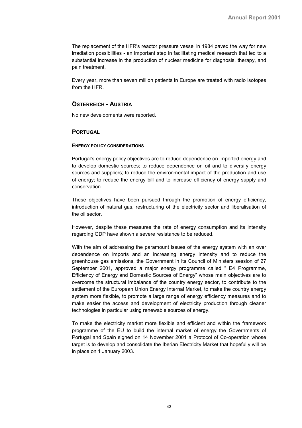<span id="page-46-0"></span>The replacement of the HFR's reactor pressure vessel in 1984 paved the way for new irradiation possibilities - an important step in facilitating medical research that led to a substantial increase in the production of nuclear medicine for diagnosis, therapy, and pain treatment.

Every year, more than seven million patients in Europe are treated with radio isotopes from the HFR

# **ÖSTERREICH - AUSTRIA**

No new developments were reported.

# **PORTUGAL**

## **ENERGY POLICY CONSIDERATIONS**

Portugal's energy policy objectives are to reduce dependence on imported energy and to develop domestic sources; to reduce dependence on oil and to diversify energy sources and suppliers; to reduce the environmental impact of the production and use of energy; to reduce the energy bill and to increase efficiency of energy supply and conservation.

These objectives have been pursued through the promotion of energy efficiency, introduction of natural gas, restructuring of the electricity sector and liberalisation of the oil sector.

However, despite these measures the rate of energy consumption and its intensity regarding GDP have shown a severe resistance to be reduced.

With the aim of addressing the paramount issues of the energy system with an over dependence on imports and an increasing energy intensity and to reduce the greenhouse gas emissions, the Government in its Council of Ministers session of 27 September 2001, approved a major energy programme called " E4 Programme, Efficiency of Energy and Domestic Sources of Energy" whose main objectives are to overcome the structural imbalance of the country energy sector, to contribute to the settlement of the European Union Energy Internal Market, to make the country energy system more flexible, to promote a large range of energy efficiency measures and to make easier the access and development of electricity production through cleaner technologies in particular using renewable sources of energy.

To make the electricity market more flexible and efficient and within the framework programme of the EU to build the internal market of energy the Governments of Portugal and Spain signed on 14 November 2001 a Protocol of Co-operation whose target is to develop and consolidate the Iberian Electricity Market that hopefully will be in place on 1 January 2003.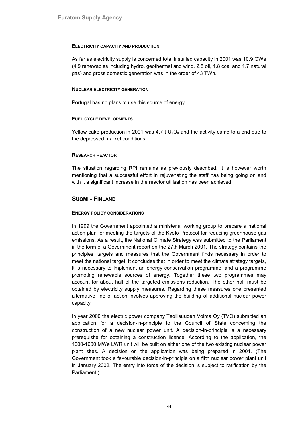#### <span id="page-47-0"></span>**ELECTRICITY CAPACITY AND PRODUCTION**

As far as electricity supply is concerned total installed capacity in 2001 was 10.9 GWe (4.9 renewables including hydro, geothermal and wind, 2.5 oil, 1.8 coal and 1.7 natural gas) and gross domestic generation was in the order of 43 TWh.

## **NUCLEAR ELECTRICITY GENERATION**

Portugal has no plans to use this source of energy

## **FUEL CYCLE DEVELOPMENTS**

Yellow cake production in 2001 was 4.7 t  $U_3O_8$  and the activity came to a end due to the depressed market conditions.

# **RESEARCH REACTOR**

The situation regarding RPI remains as previously described. It is however worth mentioning that a successful effort in rejuvenating the staff has being going on and with it a significant increase in the reactor utilisation has been achieved.

# **SUOMI - FINLAND**

# **ENERGY POLICY CONSIDERATIONS**

In 1999 the Government appointed a ministerial working group to prepare a national action plan for meeting the targets of the Kyoto Protocol for reducing greenhouse gas emissions. As a result, the National Climate Strategy was submitted to the Parliament in the form of a Government report on the 27th March 2001. The strategy contains the principles, targets and measures that the Government finds necessary in order to meet the national target. It concludes that in order to meet the climate strategy targets, it is necessary to implement an energy conservation programme, and a programme promoting renewable sources of energy. Together these two programmes may account for about half of the targeted emissions reduction. The other half must be obtained by electricity supply measures. Regarding these measures one presented alternative line of action involves approving the building of additional nuclear power capacity.

In year 2000 the electric power company Teollisuuden Voima Oy (TVO) submitted an application for a decision-in-principle to the Council of State concerning the construction of a new nuclear power unit. A decision-in-principle is a necessary prerequisite for obtaining a construction licence. According to the application, the 1000-1600 MWe LWR unit will be built on either one of the two existing nuclear power plant sites. A decision on the application was being prepared in 2001. (The Government took a favourable decision-in-principle on a fifth nuclear power plant unit in January 2002. The entry into force of the decision is subject to ratification by the Parliament.)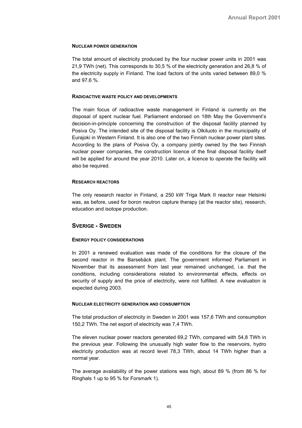#### <span id="page-48-0"></span>**NUCLEAR POWER GENERATION**

The total amount of electricity produced by the four nuclear power units in 2001 was 21,9 TWh (net). This corresponds to 30,5 % of the electricity generation and 26,8 % of the electricity supply in Finland. The load factors of the units varied between 89,0 % and 97,6 %.

#### **RADIOACTIVE WASTE POLICY AND DEVELOPMENTS**

The main focus of radioactive waste management in Finland is currently on the disposal of spent nuclear fuel. Parliament endorsed on 18th May the Government's decision-in-principle concerning the construction of the disposal facility planned by Posiva Oy. The intended site of the disposal facility is Olkiluoto in the municipality of Eurajoki in Western Finland. It is also one of the two Finnish nuclear power plant sites. According to the plans of Posiva Oy, a company jointly owned by the two Finnish nuclear power companies, the construction licence of the final disposal facility itself will be applied for around the year 2010. Later on, a licence to operate the facility will also be required.

#### **RESEARCH REACTORS**

The only research reactor in Finland, a 250 kW Triga Mark II reactor near Helsinki was, as before, used for boron neutron capture therapy (at the reactor site), research, education and isotope production.

#### **SVERIGE - SWEDEN**

#### **ENERGY POLICY CONSIDERATIONS**

In 2001 a renewed evaluation was made of the conditions for the closure of the second reactor in the Barsebäck plant. The government informed Parliament in November that its assessment from last year remained unchanged, i.e. that the conditions, including considerations related to environmental effects, effects on security of supply and the price of electricity, were not fulfilled. A new evaluation is expected during 2003.

#### **NUCLEAR ELECTRICITY GENERATION AND CONSUMPTION**

The total production of electricity in Sweden in 2001 was 157,6 TWh and consumption 150,2 TWh. The net export of electricity was 7,4 TWh.

The eleven nuclear power reactors generated 69,2 TWh, compared with 54,8 TWh in the previous year. Following the unusually high water flow to the reservoirs, hydro electricity production was at record level 78,3 TWh, about 14 TWh higher than a normal year.

The average availability of the power stations was high, about 89 % (from 86 % for Ringhals 1 up to 95 % for Forsmark 1).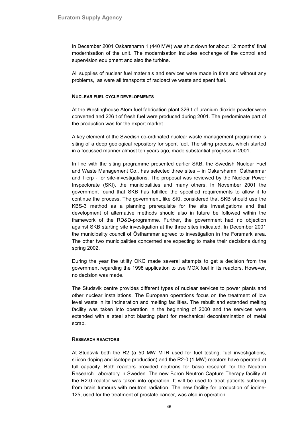In December 2001 Oskarshamn 1 (440 MW) was shut down for about 12 months' final modernisation of the unit. The modernisation includes exchange of the control and supervision equipment and also the turbine.

All supplies of nuclear fuel materials and services were made in time and without any problems, as were all transports of radioactive waste and spent fuel.

#### **NUCLEAR FUEL CYCLE DEVELOPMENTS**

At the Westinghouse Atom fuel fabrication plant 326 t of uranium dioxide powder were converted and 226 t of fresh fuel were produced during 2001. The predominate part of the production was for the export market.

A key element of the Swedish co-ordinated nuclear waste management programme is siting of a deep geological repository for spent fuel. The siting process, which started in a focussed manner almost ten years ago, made substantial progress in 2001.

In line with the siting programme presented earlier SKB, the Swedish Nuclear Fuel and Waste Management Co., has selected three sites – in Oskarshamn, Östhammar and Tierp - for site-investigations. The proposal was reviewed by the Nuclear Power Inspectorate (SKI), the municipalities and many others. In November 2001 the government found that SKB has fulfilled the specified requirements to allow it to continue the process. The government, like SKI, considered that SKB should use the KBS-3 method as a planning prerequisite for the site investigations and that development of alternative methods should also in future be followed within the framework of the RD&D-programme. Further, the government had no objection against SKB starting site investigation at the three sites indicated. In December 2001 the municipality council of Östhammar agreed to investigation in the Forsmark area. The other two municipalities concerned are expecting to make their decisions during spring 2002.

During the year the utility OKG made several attempts to get a decision from the government regarding the 1998 application to use MOX fuel in its reactors. However, no decision was made.

The Studsvik centre provides different types of nuclear services to power plants and other nuclear installations. The European operations focus on the treatment of low level waste in its incineration and melting facilities. The rebuilt and extended melting facility was taken into operation in the beginning of 2000 and the services were extended with a steel shot blasting plant for mechanical decontamination of metal scrap.

#### **RESEARCH REACTORS**

At Studsvik both the R2 (a 50 MW MTR used for fuel testing, fuel investigations, silicon doping and isotope production) and the R2-0 (1 MW) reactors have operated at full capacity. Both reactors provided neutrons for basic research for the Neutron Research Laboratory in Sweden. The new Boron Neutron Capture Therapy facility at the R2-0 reactor was taken into operation. It will be used to treat patients suffering from brain tumours with neutron radiation. The new facility for production of iodine-125, used for the treatment of prostate cancer, was also in operation.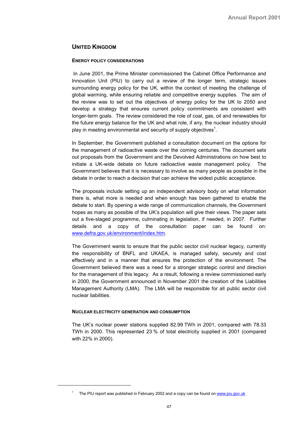# <span id="page-50-0"></span>**UNITED KINGDOM**

## **ENERGY POLICY CONSIDERATIONS**

 In June 2001, the Prime Minister commissioned the Cabinet Office Performance and Innovation Unit (PIU) to carry out a review of the longer term, strategic issues surrounding energy policy for the UK, within the context of meeting the challenge of global warming, while ensuring reliable and competitive energy supplies. The aim of the review was to set out the objectives of energy policy for the UK to 2050 and develop a strategy that ensures current policy commitments are consistent with longer-term goals. The review considered the role of coal, gas, oil and renewables for the future energy balance for the UK and what role, if any, the nuclear industry should play in meeting environmental and security of supply objectives<sup>1</sup>.

In September, the Government published a consultation document on the options for the management of radioactive waste over the coming centuries. The document sets out proposals from the Government and the Devolved Administrations on how best to initiate a UK-wide debate on future radioactive waste management policy. The Government believes that it is necessary to involve as many people as possible in the debate in order to reach a decision that can achieve the widest public acceptance.

The proposals include setting up an independent advisory body on what information there is, what more is needed and when enough has been gathered to enable the debate to start. By opening a wide range of communication channels, the Government hopes as many as possible of the UK's population will give their views. The paper sets out a five-staged programme, culminating in legislation, if needed, in 2007. Further details and a copy of the consultation paper can be found on: [www.defra.gov.uk/environment/index.htm.](http://www.defra.gov.uk/environment/index.htm)

The Government wants to ensure that the public sector civil nuclear legacy, currently the responsibility of BNFL and UKAEA, is managed safely, securely and cost effectively and in a manner that ensures the protection of the environment. The Government believed there was a need for a stronger strategic control and direction for the management of this legacy. As a result, following a review commissioned early in 2000, the Government announced in November 2001 the creation of the Liabilities Management Authority (LMA). The LMA will be responsible for all public sector civil nuclear liabilities.

#### **NUCLEAR ELECTRICITY GENERATION AND CONSUMPTION**

 $\overline{a}$ 

The UK's nuclear power stations supplied 82.99 TWh in 2001, compared with 78.33 TWh in 2000. This represented 23 % of total electricity supplied in 2001 (compared with 22% in 2000).

<sup>&</sup>lt;sup>1</sup> The PIU report was published in February 2002 and a copy can be found on www.piu.gov.uk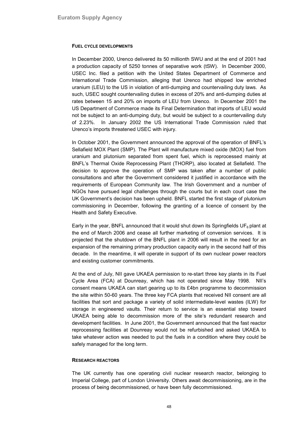#### **FUEL CYCLE DEVELOPMENTS**

In December 2000, Urenco delivered its 50 millionth SWU and at the end of 2001 had a production capacity of 5250 tonnes of separative work (tSW). In December 2000, USEC Inc. filed a petition with the United States Department of Commerce and International Trade Commission, alleging that Urenco had shipped low enriched uranium (LEU) to the US in violation of anti-dumping and countervailing duty laws. As such, USEC sought countervailing duties in excess of 20% and anti-dumping duties at rates between 15 and 20% on imports of LEU from Urenco. In December 2001 the US Department of Commerce made its Final Determination that imports of LEU would not be subject to an anti-dumping duty, but would be subject to a countervailing duty of 2.23%. In January 2002 the US International Trade Commission ruled that Urenco's imports threatened USEC with injury.

In October 2001, the Government announced the approval of the operation of BNFL's Sellafield MOX Plant (SMP). The Plant will manufacture mixed oxide (MOX) fuel from uranium and plutonium separated from spent fuel, which is reprocessed mainly at BNFL's Thermal Oxide Reprocessing Plant (THORP), also located at Sellafield. The decision to approve the operation of SMP was taken after a number of public consultations and after the Government considered it justified in accordance with the requirements of European Community law. The Irish Government and a number of NGOs have pursued legal challenges through the courts but in each court case the UK Government's decision has been upheld. BNFL started the first stage of plutonium commissioning in December, following the granting of a licence of consent by the Health and Safety Executive.

Early in the year, BNFL announced that it would shut down its Springfields UF $_6$  plant at the end of March 2006 and cease all further marketing of conversion services. It is projected that the shutdown of the BNFL plant in 2006 will result in the need for an expansion of the remaining primary production capacity early in the second half of this decade. In the meantime, it will operate in support of its own nuclear power reactors and existing customer commitments.

At the end of July, NII gave UKAEA permission to re-start three key plants in its Fuel Cycle Area (FCA) at Dounreay, which has not operated since May 1998. NII's consent means UKAEA can start gearing up to its £4bn programme to decommission the site within 50-60 years. The three key FCA plants that received NII consent are all facilities that sort and package a variety of solid intermediate-level wastes (ILW) for storage in engineered vaults. Their return to service is an essential step toward UKAEA being able to decommission more of the site's redundant research and development facilities. In June 2001, the Government announced that the fast reactor reprocessing facilities at Dounreay would not be refurbished and asked UKAEA to take whatever action was needed to put the fuels in a condition where they could be safely managed for the long term.

#### **RESEARCH REACTORS**

The UK currently has one operating civil nuclear research reactor, belonging to Imperial College, part of London University. Others await decommissioning, are in the process of being decommissioned, or have been fully decommissioned.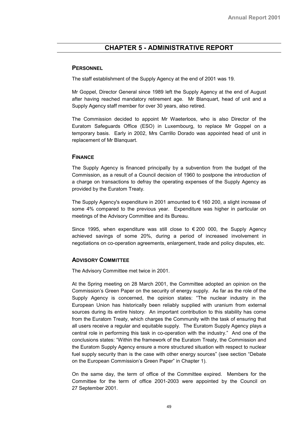# **CHAPTER 5 - ADMINISTRATIVE REPORT**

# <span id="page-52-0"></span>**PERSONNEL**

The staff establishment of the Supply Agency at the end of 2001 was 19.

Mr Goppel, Director General since 1989 left the Supply Agency at the end of August after having reached mandatory retirement age. Mr Blanquart, head of unit and a Supply Agency staff member for over 30 years, also retired.

The Commission decided to appoint Mr Waeterloos, who is also Director of the Euratom Safeguards Office (ESO) in Luxembourg, to replace Mr Goppel on a temporary basis. Early in 2002, Mrs Carrillo Dorado was appointed head of unit in replacement of Mr Blanquart.

# **FINANCE**

The Supply Agency is financed principally by a subvention from the budget of the Commission, as a result of a Council decision of 1960 to postpone the introduction of a charge on transactions to defray the operating expenses of the Supply Agency as provided by the Euratom Treaty.

The Supply Agency's expenditure in 2001 amounted to  $\epsilon$  160 200, a slight increase of some 4% compared to the previous year. Expenditure was higher in particular on meetings of the Advisory Committee and its Bureau.

Since 1995, when expenditure was still close to  $\epsilon$  200 000, the Supply Agency achieved savings of some 20%, during a period of increased involvement in negotiations on co-operation agreements, enlargement, trade and policy disputes, etc.

# **ADVISORY COMMITTEE**

The Advisory Committee met twice in 2001.

At the Spring meeting on 28 March 2001, the Committee adopted an opinion on the Commission's Green Paper on the security of energy supply. As far as the role of the Supply Agency is concerned, the opinion states: "The nuclear industry in the European Union has historically been reliably supplied with uranium from external sources during its entire history. An important contribution to this stability has come from the Euratom Treaty, which charges the Community with the task of ensuring that all users receive a regular and equitable supply. The Euratom Supply Agency plays a central role in performing this task in co-operation with the industry." And one of the conclusions states: "Within the framework of the Euratom Treaty, the Commission and the Euratom Supply Agency ensure a more structured situation with respect to nuclear fuel supply security than is the case with other energy sources" (see section "Debate on the European Commission's Green Paper" in Chapter 1).

On the same day, the term of office of the Committee expired. Members for the Committee for the term of office 2001-2003 were appointed by the Council on 27 September 2001.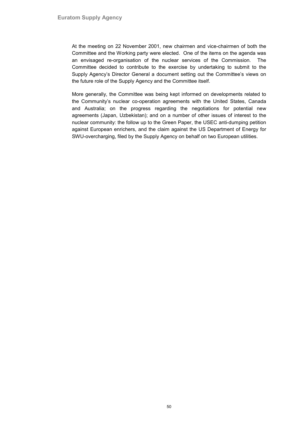At the meeting on 22 November 2001, new chairmen and vice-chairmen of both the Committee and the Working party were elected. One of the items on the agenda was an envisaged re-organisation of the nuclear services of the Commission. The Committee decided to contribute to the exercise by undertaking to submit to the Supply Agency's Director General a document setting out the Committee's views on the future role of the Supply Agency and the Committee itself.

More generally, the Committee was being kept informed on developments related to the Community's nuclear co-operation agreements with the United States, Canada and Australia; on the progress regarding the negotiations for potential new agreements (Japan, Uzbekistan); and on a number of other issues of interest to the nuclear community: the follow up to the Green Paper, the USEC anti-dumping petition against European enrichers, and the claim against the US Department of Energy for SWU-overcharging, filed by the Supply Agency on behalf on two European utilities.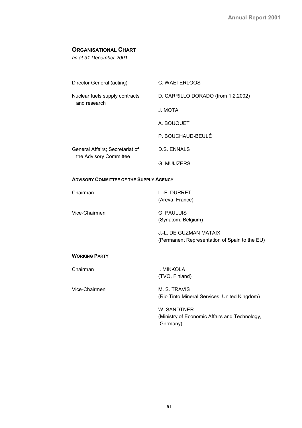# <span id="page-54-0"></span>**ORGANISATIONAL CHART**

*as at 31 December 2001*

| Director General (acting)                                 | C. WAETERLOOS                      |
|-----------------------------------------------------------|------------------------------------|
| Nuclear fuels supply contracts<br>and research            | D. CARRILLO DORADO (from 1.2.2002) |
|                                                           | J. MOTA                            |
|                                                           | A. BOUQUET                         |
|                                                           | P. BOUCHAUD-BEULÉ                  |
| General Affairs; Secretariat of<br>the Advisory Committee | D.S. ENNALS                        |
|                                                           | G. MUIJZERS                        |
|                                                           |                                    |

## **ADVISORY COMMITTEE OF THE SUPPLY AGENCY**

| Chairman | L.-F. DURRET    |
|----------|-----------------|
|          | (Areva, France) |

Vice-Chairmen G. PAULUIS

(Synatom, Belgium)

J.-L. DE GUZMAN MATAIX (Permanent Representation of Spain to the EU)

# **WORKING PARTY**

Vice-Chairmen M. S. TRAVIS

Chairman I. MIKKOLA (TVO, Finland)

(Rio Tinto Mineral Services, United Kingdom)

W. SANDTNER (Ministry of Economic Affairs and Technology, Germany)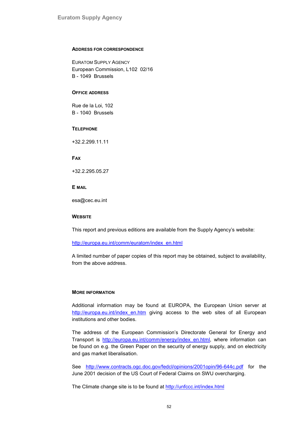#### **ADDRESS FOR CORRESPONDENCE**

EURATOM SUPPLY AGENCY European Commission, L102 02/16 B - 1049 Brussels

# **OFFICE ADDRESS**

Rue de la Loi, 102 B - 1040 Brussels

#### **TELEPHONE**

+32.2.299.11.11

# **FAX**

+32.2.295.05.27

# **E MAIL**

esa@cec.eu.int

# **WEBSITE**

This report and previous editions are available from the Supply Agency's website:

# [http://europa.eu.int/comm/euratom/index\\_en.html](http://europa.eu.int/comm/euratom/index_en.html)

A limited number of paper copies of this report may be obtained, subject to availability, from the above address.

#### **MORE INFORMATION**

Additional information may be found at EUROPA, the European Union server at [http://europa.eu.int/index\\_en.htm](http://europa.eu.int/index_en.htm) giving access to the web sites of all European institutions and other bodies.

The address of the European Commission's Directorate General for Energy and Transport is [http://europa.eu.int/comm/energy/index\\_en.html,](http://europa.eu.int/comm/energy/index_en.html) where information can be found on e.g. the Green Paper on the security of energy supply, and on electricity and gas market liberalisation.

See <http://www.contracts.ogc.doc.gov/fedcl/opinions/2001opin/96-644c.pdf>for the June 2001 decision of the US Court of Federal Claims on SWU overcharging.

The Climate change site is to be found at [http://unfccc.int/index.html](http://unfccc.int/resource/docs.html)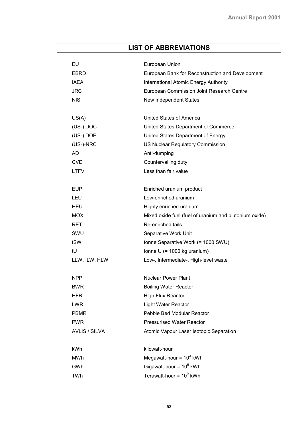# **LIST OF ABBREVIATIONS**

<span id="page-56-0"></span>

| EU                   | European Union                                         |
|----------------------|--------------------------------------------------------|
| EBRD                 | European Bank for Reconstruction and Development       |
| <b>IAEA</b>          | International Atomic Energy Authority                  |
| <b>JRC</b>           | European Commission Joint Research Centre              |
| <b>NIS</b>           | New Independent States                                 |
|                      |                                                        |
| US(A)                | United States of America                               |
| (US-) DOC            | United States Department of Commerce                   |
| (US-) DOE            | United States Department of Energy                     |
| $(US-)NRC$           | US Nuclear Regulatory Commission                       |
| AD                   | Anti-dumping                                           |
| <b>CVD</b>           | Countervailing duty                                    |
| LTFV                 | Less than fair value                                   |
|                      |                                                        |
| <b>EUP</b>           | Enriched uranium product                               |
| LEU                  | Low-enriched uranium                                   |
| <b>HEU</b>           | Highly enriched uranium                                |
| <b>MOX</b>           | Mixed oxide fuel (fuel of uranium and plutonium oxide) |
| <b>RET</b>           | Re-enriched tails                                      |
| SWU                  | Separative Work Unit                                   |
| tSW                  | tonne Separative Work (= 1000 SWU)                     |
| tU                   | tonne $U$ (= 1000 kg uranium)                          |
| LLW, ILW, HLW        | Low-, Intermediate-, High-level waste                  |
|                      |                                                        |
| NPP                  | <b>Nuclear Power Plant</b>                             |
| <b>BWR</b>           | <b>Boiling Water Reactor</b>                           |
| <b>HFR</b>           | High Flux Reactor                                      |
| <b>LWR</b>           | <b>Light Water Reactor</b>                             |
| <b>PBMR</b>          | Pebble Bed Modular Reactor                             |
| <b>PWR</b>           | <b>Pressurised Water Reactor</b>                       |
| <b>AVLIS / SILVA</b> | Atomic Vapour Laser Isotopic Separation                |
|                      |                                                        |
| kWh                  | kilowatt-hour                                          |
| MWh                  | Megawatt-hour = $10^3$ kWh                             |
| GWh                  | Gigawatt-hour = $10^6$ kWh                             |
| TWh                  | Terawatt-hour = $10^9$ kWh                             |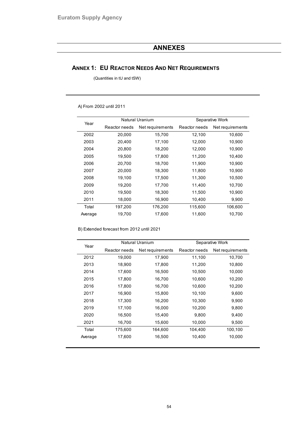# **ANNEXES**

# <span id="page-57-0"></span>**ANNEX 1: EU REACTOR NEEDS AND NET REQUIREMENTS**

(Quantities in tU and tSW)

A) From 2002 until 2011

| Year    |               | Natural Uranium  | Separative Work |                  |  |
|---------|---------------|------------------|-----------------|------------------|--|
|         | Reactor needs | Net requirements | Reactor needs   | Net requirements |  |
| 2002    | 20,000        | 15,700           | 12,100          | 10,600           |  |
| 2003    | 20.400        | 17,100           | 12,000          | 10,900           |  |
| 2004    | 20,800        | 18,200           | 12,000          | 10,900           |  |
| 2005    | 19,500        | 17,800           | 11,200          | 10,400           |  |
| 2006    | 20,700        | 18,700           | 11,900          | 10,900           |  |
| 2007    | 20,000        | 18,300           | 11,800          | 10,900           |  |
| 2008    | 19,100        | 17,500           | 11,300          | 10,500           |  |
| 2009    | 19,200        | 17,700           | 11,400          | 10,700           |  |
| 2010    | 19,500        | 18,300           | 11,500          | 10,900           |  |
| 2011    | 18,000        | 16,900           | 10,400          | 9,900            |  |
| Total   | 197,200       | 176,200          | 115,600         | 106,600          |  |
| Average | 19,700        | 17,600           | 11,600          | 10,700           |  |

B) Extended forecast from 2012 until 2021

| Year    | Natural Uranium |                  | Separative Work |                  |  |
|---------|-----------------|------------------|-----------------|------------------|--|
|         | Reactor needs   | Net requirements | Reactor needs   | Net requirements |  |
| 2012    | 19,000          | 17,900           | 11,100          | 10,700           |  |
| 2013    | 18,900          | 17,800           | 11,200          | 10,800           |  |
| 2014    | 17,600          | 16,500           | 10,500          | 10,000           |  |
| 2015    | 17,800          | 16,700           | 10,600          | 10,200           |  |
| 2016    | 17,800          | 16,700           | 10,600          | 10,200           |  |
| 2017    | 16,900          | 15,800           | 10,100          | 9,600            |  |
| 2018    | 17,300          | 16,200           | 10,300          | 9,900            |  |
| 2019    | 17,100          | 16,000           | 10,200          | 9,800            |  |
| 2020    | 16,500          | 15,400           | 9,800           | 9,400            |  |
| 2021    | 16,700          | 15,600           | 10,000          | 9,500            |  |
| Total   | 175,600         | 164,600          | 104,400         | 100,100          |  |
| Average | 17,600          | 16,500           | 10,400          | 10,000           |  |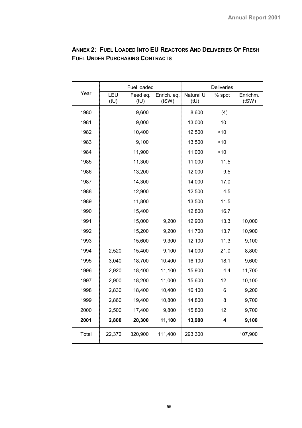| Year  | Fuel loaded |                  |                      | <b>Deliveries</b> |        |                   |
|-------|-------------|------------------|----------------------|-------------------|--------|-------------------|
|       | LEU<br>(tU) | Feed eq.<br>(tU) | Enrich. eq.<br>(tSW) | Natural U<br>(tU) | % spot | Enrichm.<br>(tSW) |
| 1980  |             | 9,600            |                      | 8,600             | (4)    |                   |
| 1981  |             | 9,000            |                      | 13,000            | 10     |                   |
| 1982  |             | 10,400           |                      | 12,500            | ~10    |                   |
| 1983  |             | 9,100            |                      | 13,500            | < 10   |                   |
| 1984  |             | 11,900           |                      | 11,000            | < 10   |                   |
| 1985  |             | 11,300           |                      | 11,000            | 11.5   |                   |
| 1986  |             | 13,200           |                      | 12,000            | 9.5    |                   |
| 1987  |             | 14,300           |                      | 14,000            | 17.0   |                   |
| 1988  |             | 12,900           |                      | 12,500            | 4.5    |                   |
| 1989  |             | 11,800           |                      | 13,500            | 11.5   |                   |
| 1990  |             | 15,400           |                      | 12,800            | 16.7   |                   |
| 1991  |             | 15,000           | 9,200                | 12,900            | 13.3   | 10,000            |
| 1992  |             | 15,200           | 9,200                | 11,700            | 13.7   | 10,900            |
| 1993  |             | 15,600           | 9,300                | 12,100            | 11.3   | 9,100             |
| 1994  | 2,520       | 15,400           | 9,100                | 14,000            | 21.0   | 8,800             |
| 1995  | 3,040       | 18,700           | 10,400               | 16,100            | 18.1   | 9,600             |
| 1996  | 2,920       | 18,400           | 11,100               | 15,900            | 4.4    | 11,700            |
| 1997  | 2,900       | 18,200           | 11,000               | 15,600            | 12     | 10,100            |
| 1998  | 2,830       | 18,400           | 10,400               | 16,100            | 6      | 9,200             |
| 1999  | 2,860       | 19,400           | 10,800               | 14,800            | 8      | 9,700             |
| 2000  | 2,500       | 17,400           | 9,800                | 15,800            | 12     | 9,700             |
| 2001  | 2,800       | 20,300           | 11,100               | 13,900            | 4      | 9,100             |
| Total | 22,370      | 320,900          | 111,400              | 293,300           |        | 107,900           |

# <span id="page-58-0"></span>**ANNEX 2: FUEL LOADED INTO EU REACTORS AND DELIVERIES OF FRESH FUEL UNDER PURCHASING CONTRACTS**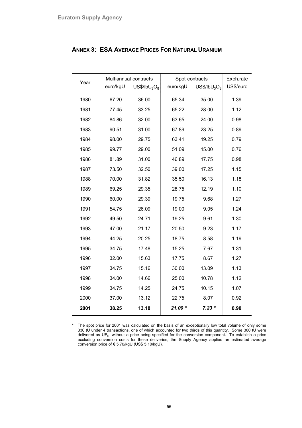| Year | Multiannual contracts |                                      | Spot contracts |                                      | Exch.rate |
|------|-----------------------|--------------------------------------|----------------|--------------------------------------|-----------|
|      | euro/kgU              | US\$/IbU <sub>3</sub> O <sub>8</sub> | euro/kgU       | US\$/IbU <sub>3</sub> O <sub>8</sub> | US\$/euro |
| 1980 | 67.20                 | 36.00                                | 65.34          | 35.00                                | 1.39      |
| 1981 | 77.45                 | 33.25                                | 65.22          | 28.00                                | 1.12      |
| 1982 | 84.86                 | 32.00                                | 63.65          | 24.00                                | 0.98      |
| 1983 | 90.51                 | 31.00                                | 67.89          | 23.25                                | 0.89      |
| 1984 | 98.00                 | 29.75                                | 63.41          | 19.25                                | 0.79      |
| 1985 | 99.77                 | 29.00                                | 51.09          | 15.00                                | 0.76      |
| 1986 | 81.89                 | 31.00                                | 46.89          | 17.75                                | 0.98      |
| 1987 | 73.50                 | 32.50                                | 39.00          | 17.25                                | 1.15      |
| 1988 | 70.00                 | 31.82                                | 35.50          | 16.13                                | 1.18      |
| 1989 | 69.25                 | 29.35                                | 28.75          | 12.19                                | 1.10      |
| 1990 | 60.00                 | 29.39                                | 19.75          | 9.68                                 | 1.27      |
| 1991 | 54.75                 | 26.09                                | 19.00          | 9.05                                 | 1.24      |
| 1992 | 49.50                 | 24.71                                | 19.25          | 9.61                                 | 1.30      |
| 1993 | 47.00                 | 21.17                                | 20.50          | 9.23                                 | 1.17      |
| 1994 | 44.25                 | 20.25                                | 18.75          | 8.58                                 | 1.19      |
| 1995 | 34.75                 | 17.48                                | 15.25          | 7.67                                 | 1.31      |
| 1996 | 32.00                 | 15.63                                | 17.75          | 8.67                                 | 1.27      |
| 1997 | 34.75                 | 15.16                                | 30.00          | 13.09                                | 1.13      |
| 1998 | 34.00                 | 14.66                                | 25.00          | 10.78                                | 1.12      |
| 1999 | 34.75                 | 14.25                                | 24.75          | 10.15                                | 1.07      |
| 2000 | 37.00                 | 13.12                                | 22.75          | 8.07                                 | 0.92      |
| 2001 | 38.25                 | 13.18                                | $21.00*$       | $7.23*$                              | 0.90      |

# <span id="page-59-0"></span>**ANNEX 3: ESA AVERAGE PRICES FOR NATURAL URANIUM**

\* The spot price for 2001 was calculated on the basis of an exceptionally low total volume of only some 330 tU under 4 transactions, one of which accounted for two thirds of this quantity. Some 300 tU were delivered as UF<sub>6</sub> without a price being specified for the conversion component. To establish a price excluding conversion costs for these deliveries, the Supply Agency applied an estimated average conversion price of € 5.70/kgU (US\$ 5.10/kgU).